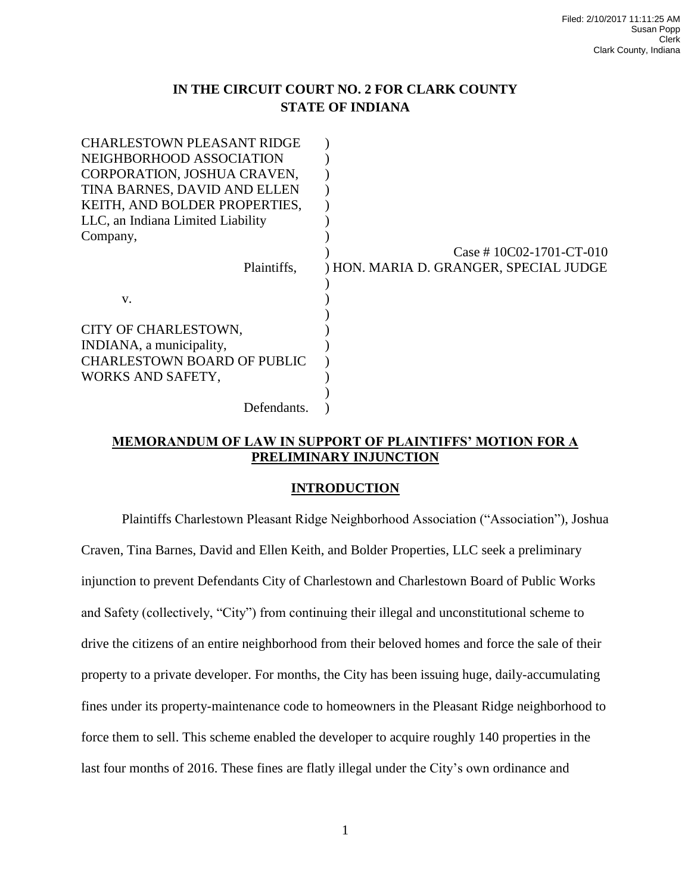## **IN THE CIRCUIT COURT NO. 2 FOR CLARK COUNTY STATE OF INDIANA**

| <b>CHARLESTOWN PLEASANT RIDGE</b>  |                                        |
|------------------------------------|----------------------------------------|
| NEIGHBORHOOD ASSOCIATION           |                                        |
| CORPORATION, JOSHUA CRAVEN,        |                                        |
| TINA BARNES, DAVID AND ELLEN       |                                        |
| KEITH, AND BOLDER PROPERTIES,      |                                        |
| LLC, an Indiana Limited Liability  |                                        |
| Company,                           |                                        |
|                                    | Case # $10C02-1701-CT-010$             |
| Plaintiffs,                        | ) HON. MARIA D. GRANGER, SPECIAL JUDGE |
|                                    |                                        |
| V.                                 |                                        |
|                                    |                                        |
| CITY OF CHARLESTOWN,               |                                        |
| INDIANA, a municipality,           |                                        |
| <b>CHARLESTOWN BOARD OF PUBLIC</b> |                                        |
| WORKS AND SAFETY,                  |                                        |
|                                    |                                        |
| Defendants.                        |                                        |

## **MEMORANDUM OF LAW IN SUPPORT OF PLAINTIFFS' MOTION FOR A PRELIMINARY INJUNCTION**

## **INTRODUCTION**

Plaintiffs Charlestown Pleasant Ridge Neighborhood Association ("Association"), Joshua Craven, Tina Barnes, David and Ellen Keith, and Bolder Properties, LLC seek a preliminary injunction to prevent Defendants City of Charlestown and Charlestown Board of Public Works and Safety (collectively, "City") from continuing their illegal and unconstitutional scheme to drive the citizens of an entire neighborhood from their beloved homes and force the sale of their property to a private developer. For months, the City has been issuing huge, daily-accumulating fines under its property-maintenance code to homeowners in the Pleasant Ridge neighborhood to force them to sell. This scheme enabled the developer to acquire roughly 140 properties in the last four months of 2016. These fines are flatly illegal under the City's own ordinance and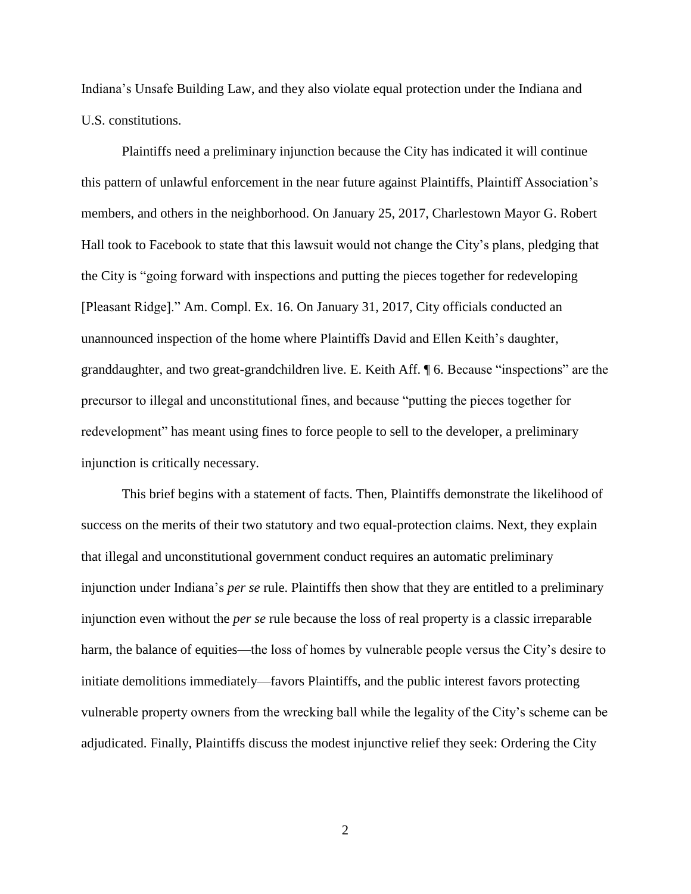Indiana's Unsafe Building Law, and they also violate equal protection under the Indiana and U.S. constitutions.

Plaintiffs need a preliminary injunction because the City has indicated it will continue this pattern of unlawful enforcement in the near future against Plaintiffs, Plaintiff Association's members, and others in the neighborhood. On January 25, 2017, Charlestown Mayor G. Robert Hall took to Facebook to state that this lawsuit would not change the City's plans, pledging that the City is "going forward with inspections and putting the pieces together for redeveloping [Pleasant Ridge]." Am. Compl. Ex. 16. On January 31, 2017, City officials conducted an unannounced inspection of the home where Plaintiffs David and Ellen Keith's daughter, granddaughter, and two great-grandchildren live. E. Keith Aff. ¶ 6. Because "inspections" are the precursor to illegal and unconstitutional fines, and because "putting the pieces together for redevelopment" has meant using fines to force people to sell to the developer, a preliminary injunction is critically necessary.

This brief begins with a statement of facts. Then, Plaintiffs demonstrate the likelihood of success on the merits of their two statutory and two equal-protection claims. Next, they explain that illegal and unconstitutional government conduct requires an automatic preliminary injunction under Indiana's *per se* rule. Plaintiffs then show that they are entitled to a preliminary injunction even without the *per se* rule because the loss of real property is a classic irreparable harm, the balance of equities—the loss of homes by vulnerable people versus the City's desire to initiate demolitions immediately—favors Plaintiffs, and the public interest favors protecting vulnerable property owners from the wrecking ball while the legality of the City's scheme can be adjudicated. Finally, Plaintiffs discuss the modest injunctive relief they seek: Ordering the City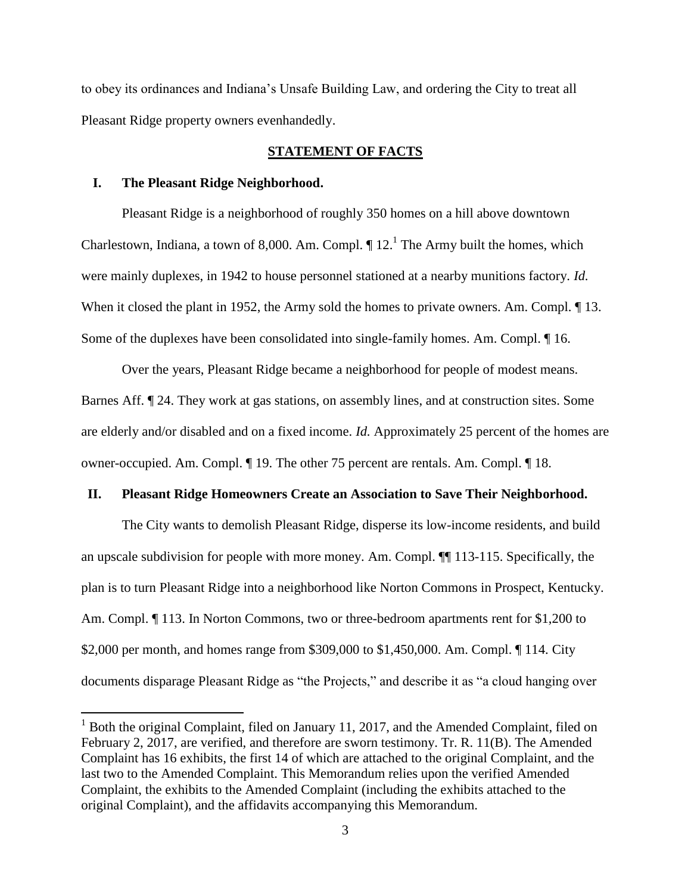to obey its ordinances and Indiana's Unsafe Building Law, and ordering the City to treat all Pleasant Ridge property owners evenhandedly.

### **STATEMENT OF FACTS**

#### **I. The Pleasant Ridge Neighborhood.**

 $\overline{a}$ 

Pleasant Ridge is a neighborhood of roughly 350 homes on a hill above downtown Charlestown, Indiana, a town of 8,000. Am. Compl.  $\P$  12.<sup>1</sup> The Army built the homes, which were mainly duplexes, in 1942 to house personnel stationed at a nearby munitions factory. *Id.* When it closed the plant in 1952, the Army sold the homes to private owners. Am. Compl.  $\llbracket$  13. Some of the duplexes have been consolidated into single-family homes. Am. Compl. ¶ 16.

Over the years, Pleasant Ridge became a neighborhood for people of modest means. Barnes Aff. ¶ 24. They work at gas stations, on assembly lines, and at construction sites. Some are elderly and/or disabled and on a fixed income. *Id.* Approximately 25 percent of the homes are owner-occupied. Am. Compl. ¶ 19. The other 75 percent are rentals. Am. Compl. ¶ 18.

#### **II. Pleasant Ridge Homeowners Create an Association to Save Their Neighborhood.**

The City wants to demolish Pleasant Ridge, disperse its low-income residents, and build an upscale subdivision for people with more money. Am. Compl. ¶¶ 113-115. Specifically, the plan is to turn Pleasant Ridge into a neighborhood like Norton Commons in Prospect, Kentucky. Am. Compl. ¶ 113. In Norton Commons, two or three-bedroom apartments rent for \$1,200 to \$2,000 per month, and homes range from \$309,000 to \$1,450,000. Am. Compl. ¶ 114. City documents disparage Pleasant Ridge as "the Projects," and describe it as "a cloud hanging over

 $1$  Both the original Complaint, filed on January 11, 2017, and the Amended Complaint, filed on February 2, 2017, are verified, and therefore are sworn testimony. Tr. R. 11(B). The Amended Complaint has 16 exhibits, the first 14 of which are attached to the original Complaint, and the last two to the Amended Complaint. This Memorandum relies upon the verified Amended Complaint, the exhibits to the Amended Complaint (including the exhibits attached to the original Complaint), and the affidavits accompanying this Memorandum.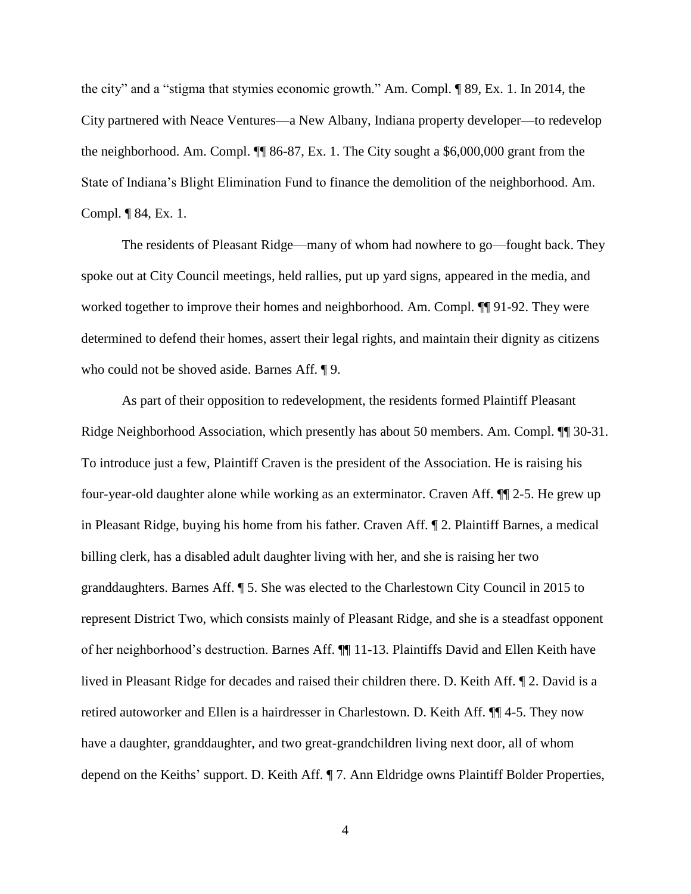the city" and a "stigma that stymies economic growth." Am. Compl. ¶ 89, Ex. 1. In 2014, the City partnered with Neace Ventures—a New Albany, Indiana property developer—to redevelop the neighborhood. Am. Compl. ¶¶ 86-87, Ex. 1. The City sought a \$6,000,000 grant from the State of Indiana's Blight Elimination Fund to finance the demolition of the neighborhood. Am. Compl. ¶ 84, Ex. 1.

The residents of Pleasant Ridge—many of whom had nowhere to go—fought back. They spoke out at City Council meetings, held rallies, put up yard signs, appeared in the media, and worked together to improve their homes and neighborhood. Am. Compl. ¶¶ 91-92. They were determined to defend their homes, assert their legal rights, and maintain their dignity as citizens who could not be shoved aside. Barnes Aff. ¶ 9.

As part of their opposition to redevelopment, the residents formed Plaintiff Pleasant Ridge Neighborhood Association, which presently has about 50 members. Am. Compl. ¶¶ 30-31. To introduce just a few, Plaintiff Craven is the president of the Association. He is raising his four-year-old daughter alone while working as an exterminator. Craven Aff. ¶¶ 2-5. He grew up in Pleasant Ridge, buying his home from his father. Craven Aff. ¶ 2. Plaintiff Barnes, a medical billing clerk, has a disabled adult daughter living with her, and she is raising her two granddaughters. Barnes Aff. ¶ 5. She was elected to the Charlestown City Council in 2015 to represent District Two, which consists mainly of Pleasant Ridge, and she is a steadfast opponent of her neighborhood's destruction. Barnes Aff. ¶¶ 11-13. Plaintiffs David and Ellen Keith have lived in Pleasant Ridge for decades and raised their children there. D. Keith Aff. ¶ 2. David is a retired autoworker and Ellen is a hairdresser in Charlestown. D. Keith Aff. ¶¶ 4-5. They now have a daughter, granddaughter, and two great-grandchildren living next door, all of whom depend on the Keiths' support. D. Keith Aff. ¶ 7. Ann Eldridge owns Plaintiff Bolder Properties,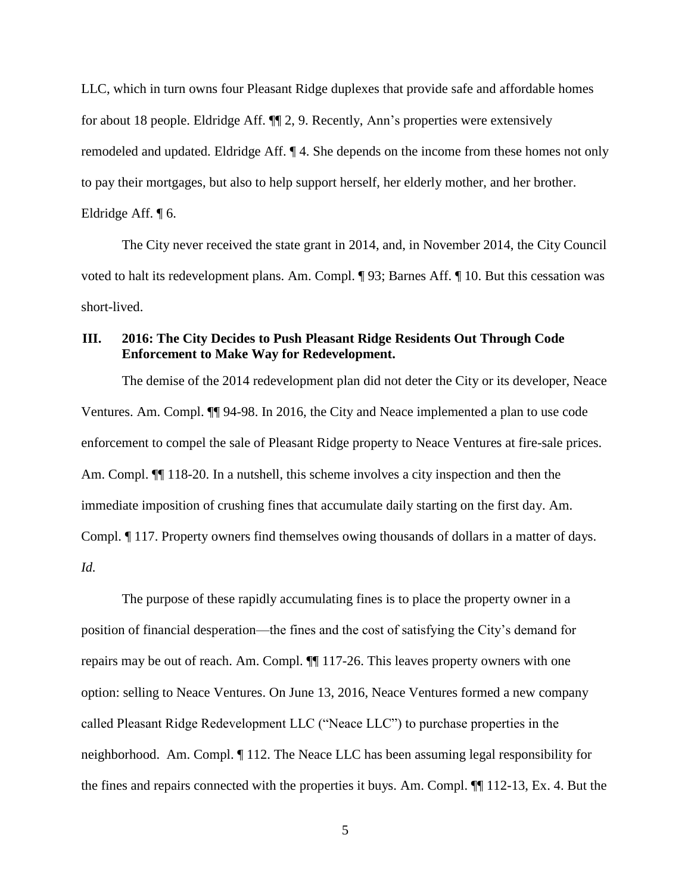LLC, which in turn owns four Pleasant Ridge duplexes that provide safe and affordable homes for about 18 people. Eldridge Aff. ¶¶ 2, 9. Recently, Ann's properties were extensively remodeled and updated. Eldridge Aff. ¶ 4. She depends on the income from these homes not only to pay their mortgages, but also to help support herself, her elderly mother, and her brother. Eldridge Aff. ¶ 6.

The City never received the state grant in 2014, and, in November 2014, the City Council voted to halt its redevelopment plans. Am. Compl. ¶ 93; Barnes Aff. ¶ 10. But this cessation was short-lived.

# **III. 2016: The City Decides to Push Pleasant Ridge Residents Out Through Code Enforcement to Make Way for Redevelopment.**

The demise of the 2014 redevelopment plan did not deter the City or its developer, Neace Ventures. Am. Compl. ¶¶ 94-98. In 2016, the City and Neace implemented a plan to use code enforcement to compel the sale of Pleasant Ridge property to Neace Ventures at fire-sale prices. Am. Compl.  $\P$  118-20. In a nutshell, this scheme involves a city inspection and then the immediate imposition of crushing fines that accumulate daily starting on the first day. Am. Compl. ¶ 117. Property owners find themselves owing thousands of dollars in a matter of days. *Id.*

The purpose of these rapidly accumulating fines is to place the property owner in a position of financial desperation—the fines and the cost of satisfying the City's demand for repairs may be out of reach. Am. Compl. ¶¶ 117-26. This leaves property owners with one option: selling to Neace Ventures. On June 13, 2016, Neace Ventures formed a new company called Pleasant Ridge Redevelopment LLC ("Neace LLC") to purchase properties in the neighborhood. Am. Compl. ¶ 112. The Neace LLC has been assuming legal responsibility for the fines and repairs connected with the properties it buys. Am. Compl. ¶¶ 112-13, Ex. 4. But the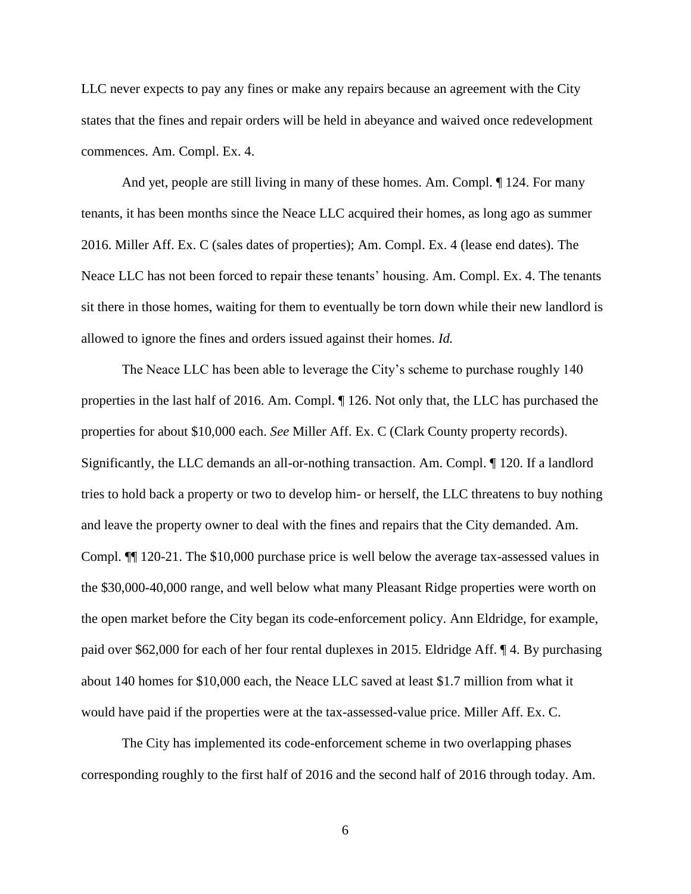LLC never expects to pay any fines or make any repairs because an agreement with the City states that the fines and repair orders will be held in abeyance and waived once redevelopment commences. Am. Compl. Ex. 4.

And yet, people are still living in many of these homes. Am. Compl. ¶ 124. For many tenants, it has been months since the Neace LLC acquired their homes, as long ago as summer 2016. Miller Aff. Ex. C (sales dates of properties); Am. Compl. Ex. 4 (lease end dates). The Neace LLC has not been forced to repair these tenants' housing. Am. Compl. Ex. 4. The tenants sit there in those homes, waiting for them to eventually be torn down while their new landlord is allowed to ignore the fines and orders issued against their homes. *Id.*

The Neace LLC has been able to leverage the City's scheme to purchase roughly 140 properties in the last half of 2016. Am. Compl. ¶ 126. Not only that, the LLC has purchased the properties for about \$10,000 each. *See* Miller Aff. Ex. C (Clark County property records). Significantly, the LLC demands an all-or-nothing transaction. Am. Compl. ¶ 120. If a landlord tries to hold back a property or two to develop him- or herself, the LLC threatens to buy nothing and leave the property owner to deal with the fines and repairs that the City demanded. Am. Compl. ¶¶ 120-21. The \$10,000 purchase price is well below the average tax-assessed values in the \$30,000-40,000 range, and well below what many Pleasant Ridge properties were worth on the open market before the City began its code-enforcement policy. Ann Eldridge, for example, paid over \$62,000 for each of her four rental duplexes in 2015. Eldridge Aff. ¶ 4. By purchasing about 140 homes for \$10,000 each, the Neace LLC saved at least \$1.7 million from what it would have paid if the properties were at the tax-assessed-value price. Miller Aff. Ex. C.

The City has implemented its code-enforcement scheme in two overlapping phases corresponding roughly to the first half of 2016 and the second half of 2016 through today. Am.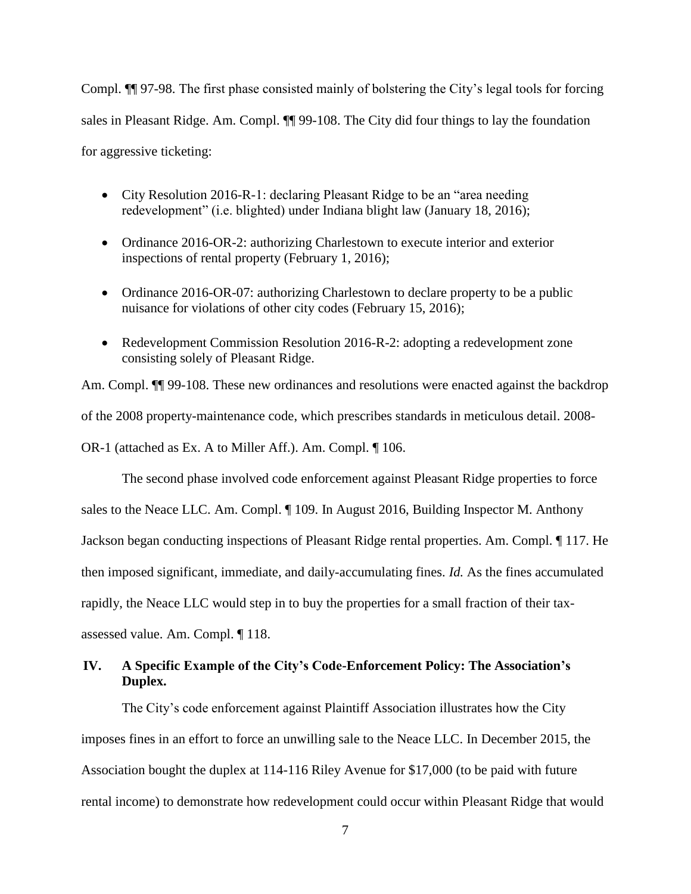Compl. ¶¶ 97-98. The first phase consisted mainly of bolstering the City's legal tools for forcing sales in Pleasant Ridge. Am. Compl. ¶¶ 99-108. The City did four things to lay the foundation for aggressive ticketing:

- City Resolution 2016-R-1: declaring Pleasant Ridge to be an "area needing" redevelopment" (i.e. blighted) under Indiana blight law (January 18, 2016);
- Ordinance 2016-OR-2: authorizing Charlestown to execute interior and exterior inspections of rental property (February 1, 2016);
- Ordinance 2016-OR-07: authorizing Charlestown to declare property to be a public nuisance for violations of other city codes (February 15, 2016);
- Redevelopment Commission Resolution 2016-R-2: adopting a redevelopment zone consisting solely of Pleasant Ridge.

Am. Compl.  $\P$  99-108. These new ordinances and resolutions were enacted against the backdrop of the 2008 property-maintenance code, which prescribes standards in meticulous detail. 2008- OR-1 (attached as Ex. A to Miller Aff.). Am. Compl. ¶ 106.

The second phase involved code enforcement against Pleasant Ridge properties to force sales to the Neace LLC. Am. Compl. ¶ 109. In August 2016, Building Inspector M. Anthony Jackson began conducting inspections of Pleasant Ridge rental properties. Am. Compl. ¶ 117. He then imposed significant, immediate, and daily-accumulating fines. *Id.* As the fines accumulated rapidly, the Neace LLC would step in to buy the properties for a small fraction of their taxassessed value. Am. Compl. ¶ 118.

## **IV. A Specific Example of the City's Code-Enforcement Policy: The Association's Duplex.**

The City's code enforcement against Plaintiff Association illustrates how the City imposes fines in an effort to force an unwilling sale to the Neace LLC. In December 2015, the Association bought the duplex at 114-116 Riley Avenue for \$17,000 (to be paid with future rental income) to demonstrate how redevelopment could occur within Pleasant Ridge that would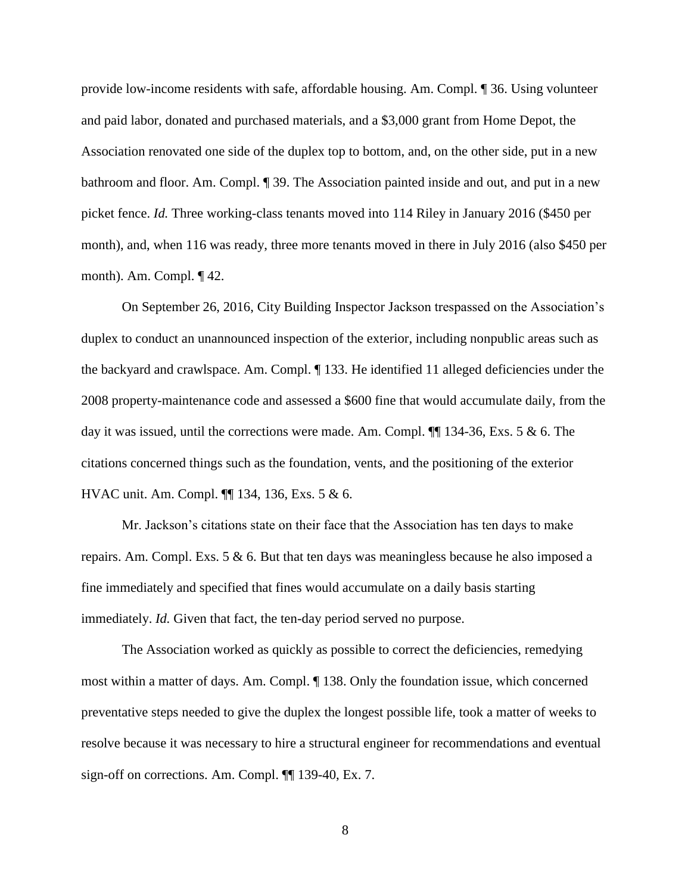provide low-income residents with safe, affordable housing. Am. Compl. ¶ 36. Using volunteer and paid labor, donated and purchased materials, and a \$3,000 grant from Home Depot, the Association renovated one side of the duplex top to bottom, and, on the other side, put in a new bathroom and floor. Am. Compl. ¶ 39. The Association painted inside and out, and put in a new picket fence. *Id.* Three working-class tenants moved into 114 Riley in January 2016 (\$450 per month), and, when 116 was ready, three more tenants moved in there in July 2016 (also \$450 per month). Am. Compl. ¶ 42.

On September 26, 2016, City Building Inspector Jackson trespassed on the Association's duplex to conduct an unannounced inspection of the exterior, including nonpublic areas such as the backyard and crawlspace. Am. Compl. ¶ 133. He identified 11 alleged deficiencies under the 2008 property-maintenance code and assessed a \$600 fine that would accumulate daily, from the day it was issued, until the corrections were made. Am. Compl.  $\P$  134-36, Exs. 5 & 6. The citations concerned things such as the foundation, vents, and the positioning of the exterior HVAC unit. Am. Compl. ¶¶ 134, 136, Exs. 5 & 6.

Mr. Jackson's citations state on their face that the Association has ten days to make repairs. Am. Compl. Exs. 5 & 6. But that ten days was meaningless because he also imposed a fine immediately and specified that fines would accumulate on a daily basis starting immediately. *Id.* Given that fact, the ten-day period served no purpose.

The Association worked as quickly as possible to correct the deficiencies, remedying most within a matter of days. Am. Compl. ¶ 138. Only the foundation issue, which concerned preventative steps needed to give the duplex the longest possible life, took a matter of weeks to resolve because it was necessary to hire a structural engineer for recommendations and eventual sign-off on corrections. Am. Compl. ¶¶ 139-40, Ex. 7.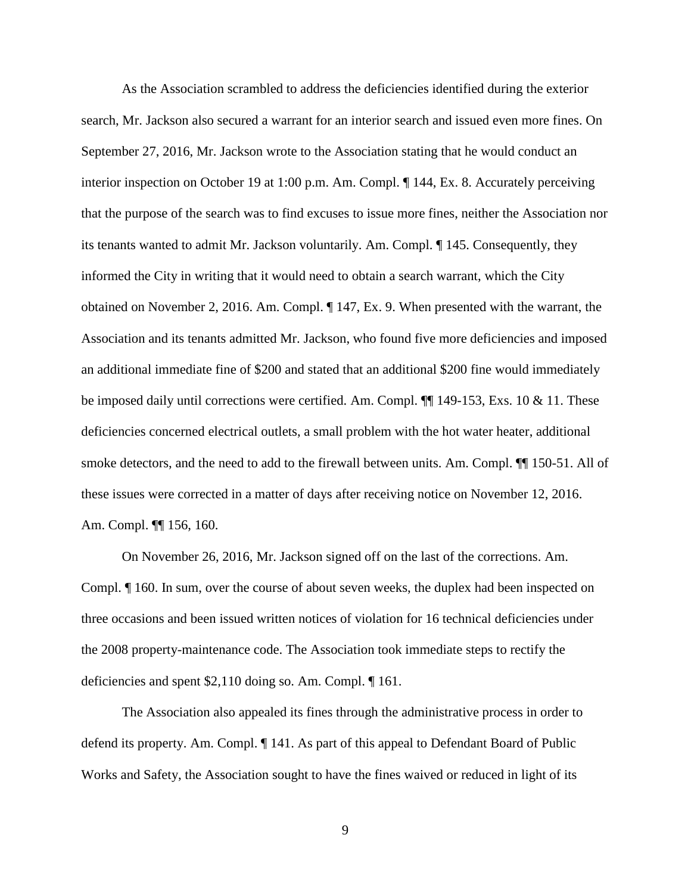As the Association scrambled to address the deficiencies identified during the exterior search, Mr. Jackson also secured a warrant for an interior search and issued even more fines. On September 27, 2016, Mr. Jackson wrote to the Association stating that he would conduct an interior inspection on October 19 at 1:00 p.m. Am. Compl. ¶ 144, Ex. 8. Accurately perceiving that the purpose of the search was to find excuses to issue more fines, neither the Association nor its tenants wanted to admit Mr. Jackson voluntarily. Am. Compl. ¶ 145. Consequently, they informed the City in writing that it would need to obtain a search warrant, which the City obtained on November 2, 2016. Am. Compl. ¶ 147, Ex. 9. When presented with the warrant, the Association and its tenants admitted Mr. Jackson, who found five more deficiencies and imposed an additional immediate fine of \$200 and stated that an additional \$200 fine would immediately be imposed daily until corrections were certified. Am. Compl. ¶¶ 149-153, Exs. 10 & 11. These deficiencies concerned electrical outlets, a small problem with the hot water heater, additional smoke detectors, and the need to add to the firewall between units. Am. Compl. ¶¶ 150-51. All of these issues were corrected in a matter of days after receiving notice on November 12, 2016. Am. Compl. ¶¶ 156, 160.

On November 26, 2016, Mr. Jackson signed off on the last of the corrections. Am. Compl. ¶ 160. In sum, over the course of about seven weeks, the duplex had been inspected on three occasions and been issued written notices of violation for 16 technical deficiencies under the 2008 property-maintenance code. The Association took immediate steps to rectify the deficiencies and spent \$2,110 doing so. Am. Compl. ¶ 161.

The Association also appealed its fines through the administrative process in order to defend its property. Am. Compl. ¶ 141. As part of this appeal to Defendant Board of Public Works and Safety, the Association sought to have the fines waived or reduced in light of its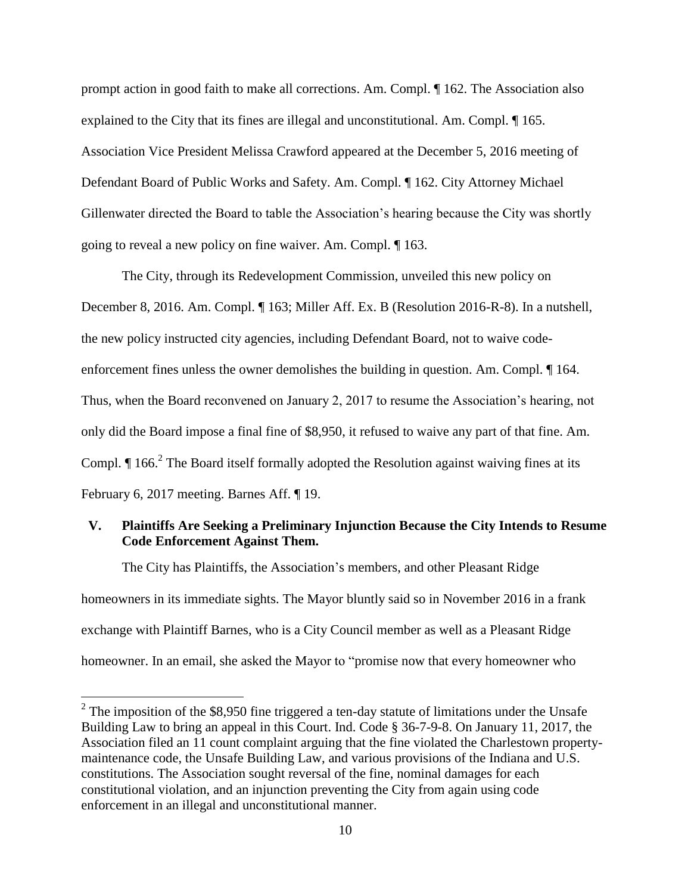prompt action in good faith to make all corrections. Am. Compl. ¶ 162. The Association also explained to the City that its fines are illegal and unconstitutional. Am. Compl. ¶ 165. Association Vice President Melissa Crawford appeared at the December 5, 2016 meeting of Defendant Board of Public Works and Safety. Am. Compl. ¶ 162. City Attorney Michael Gillenwater directed the Board to table the Association's hearing because the City was shortly going to reveal a new policy on fine waiver. Am. Compl. ¶ 163.

The City, through its Redevelopment Commission, unveiled this new policy on December 8, 2016. Am. Compl. ¶ 163; Miller Aff. Ex. B (Resolution 2016-R-8). In a nutshell, the new policy instructed city agencies, including Defendant Board, not to waive codeenforcement fines unless the owner demolishes the building in question. Am. Compl. ¶ 164. Thus, when the Board reconvened on January 2, 2017 to resume the Association's hearing, not only did the Board impose a final fine of \$8,950, it refused to waive any part of that fine. Am. Compl.  $\P$  166.<sup>2</sup> The Board itself formally adopted the Resolution against waiving fines at its February 6, 2017 meeting. Barnes Aff. ¶ 19.

## **V. Plaintiffs Are Seeking a Preliminary Injunction Because the City Intends to Resume Code Enforcement Against Them.**

The City has Plaintiffs, the Association's members, and other Pleasant Ridge homeowners in its immediate sights. The Mayor bluntly said so in November 2016 in a frank exchange with Plaintiff Barnes, who is a City Council member as well as a Pleasant Ridge homeowner. In an email, she asked the Mayor to "promise now that every homeowner who

<sup>&</sup>lt;sup>2</sup> The imposition of the \$8,950 fine triggered a ten-day statute of limitations under the Unsafe Building Law to bring an appeal in this Court. Ind. Code § 36-7-9-8. On January 11, 2017, the Association filed an 11 count complaint arguing that the fine violated the Charlestown propertymaintenance code, the Unsafe Building Law, and various provisions of the Indiana and U.S. constitutions. The Association sought reversal of the fine, nominal damages for each constitutional violation, and an injunction preventing the City from again using code enforcement in an illegal and unconstitutional manner.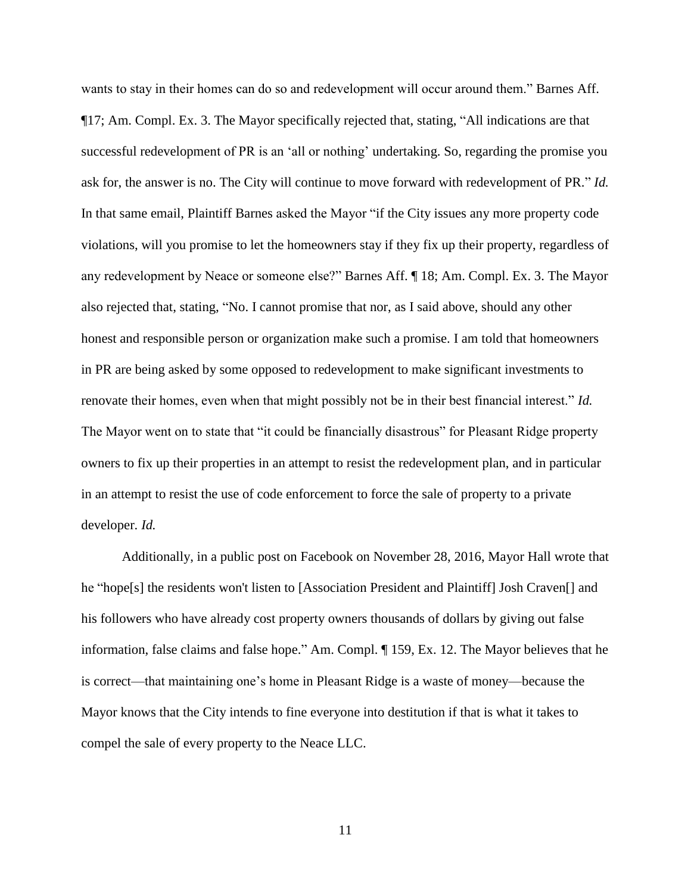wants to stay in their homes can do so and redevelopment will occur around them." Barnes Aff. ¶17; Am. Compl. Ex. 3. The Mayor specifically rejected that, stating, "All indications are that successful redevelopment of PR is an 'all or nothing' undertaking. So, regarding the promise you ask for, the answer is no. The City will continue to move forward with redevelopment of PR." *Id.* In that same email, Plaintiff Barnes asked the Mayor "if the City issues any more property code violations, will you promise to let the homeowners stay if they fix up their property, regardless of any redevelopment by Neace or someone else?" Barnes Aff. ¶ 18; Am. Compl. Ex. 3. The Mayor also rejected that, stating, "No. I cannot promise that nor, as I said above, should any other honest and responsible person or organization make such a promise. I am told that homeowners in PR are being asked by some opposed to redevelopment to make significant investments to renovate their homes, even when that might possibly not be in their best financial interest." *Id.* The Mayor went on to state that "it could be financially disastrous" for Pleasant Ridge property owners to fix up their properties in an attempt to resist the redevelopment plan, and in particular in an attempt to resist the use of code enforcement to force the sale of property to a private developer. *Id.*

Additionally, in a public post on Facebook on November 28, 2016, Mayor Hall wrote that he "hope[s] the residents won't listen to [Association President and Plaintiff] Josh Craven[] and his followers who have already cost property owners thousands of dollars by giving out false information, false claims and false hope." Am. Compl. ¶ 159, Ex. 12. The Mayor believes that he is correct—that maintaining one's home in Pleasant Ridge is a waste of money—because the Mayor knows that the City intends to fine everyone into destitution if that is what it takes to compel the sale of every property to the Neace LLC.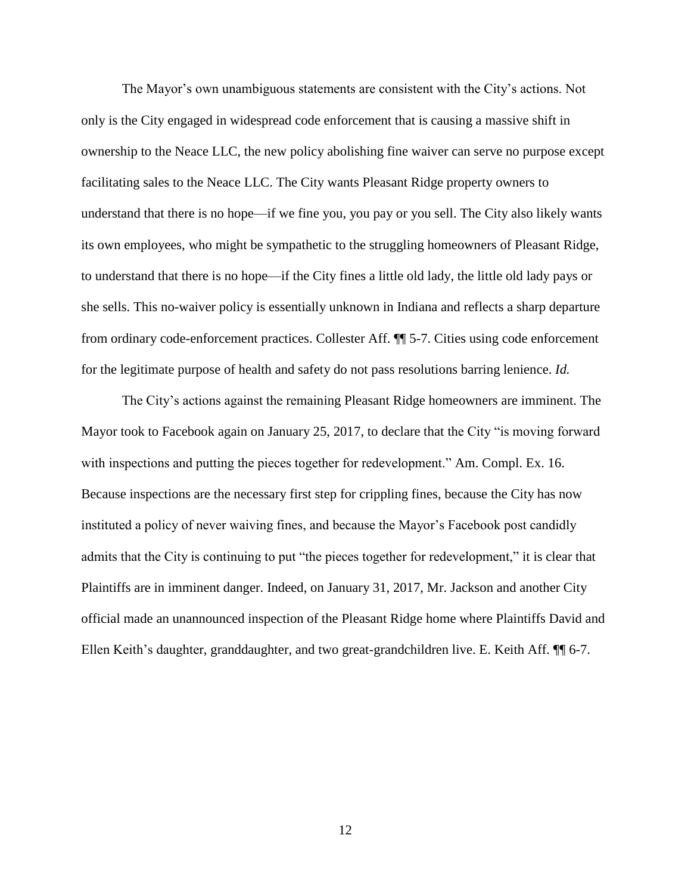The Mayor's own unambiguous statements are consistent with the City's actions. Not only is the City engaged in widespread code enforcement that is causing a massive shift in ownership to the Neace LLC, the new policy abolishing fine waiver can serve no purpose except facilitating sales to the Neace LLC. The City wants Pleasant Ridge property owners to understand that there is no hope—if we fine you, you pay or you sell. The City also likely wants its own employees, who might be sympathetic to the struggling homeowners of Pleasant Ridge, to understand that there is no hope—if the City fines a little old lady, the little old lady pays or she sells. This no-waiver policy is essentially unknown in Indiana and reflects a sharp departure from ordinary code-enforcement practices. Collester Aff. ¶¶ 5-7. Cities using code enforcement for the legitimate purpose of health and safety do not pass resolutions barring lenience. *Id.*

The City's actions against the remaining Pleasant Ridge homeowners are imminent. The Mayor took to Facebook again on January 25, 2017, to declare that the City "is moving forward with inspections and putting the pieces together for redevelopment." Am. Compl. Ex. 16. Because inspections are the necessary first step for crippling fines, because the City has now instituted a policy of never waiving fines, and because the Mayor's Facebook post candidly admits that the City is continuing to put "the pieces together for redevelopment," it is clear that Plaintiffs are in imminent danger. Indeed, on January 31, 2017, Mr. Jackson and another City official made an unannounced inspection of the Pleasant Ridge home where Plaintiffs David and Ellen Keith's daughter, granddaughter, and two great-grandchildren live. E. Keith Aff. ¶¶ 6-7.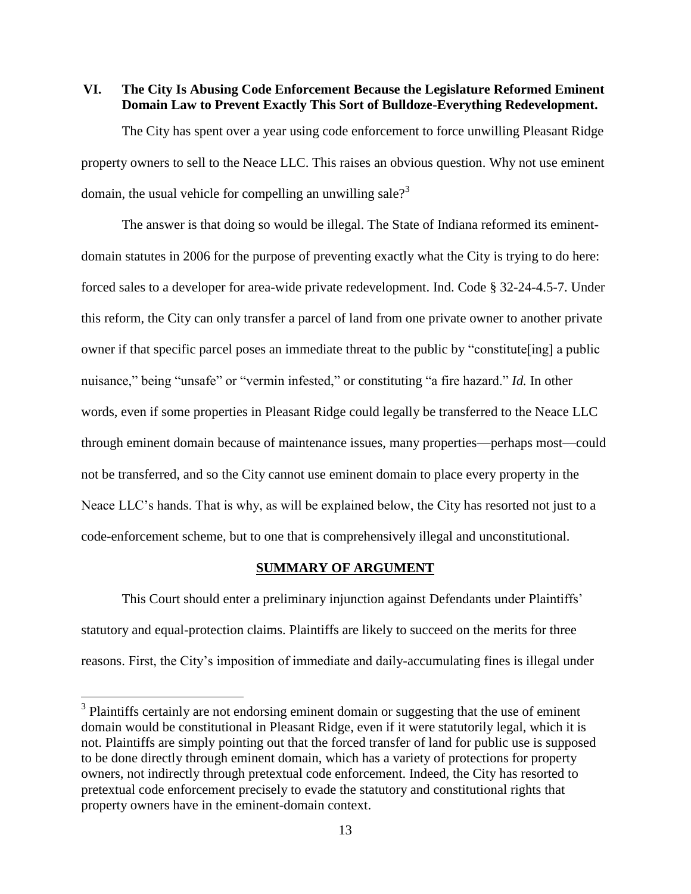### **VI. The City Is Abusing Code Enforcement Because the Legislature Reformed Eminent Domain Law to Prevent Exactly This Sort of Bulldoze-Everything Redevelopment.**

The City has spent over a year using code enforcement to force unwilling Pleasant Ridge property owners to sell to the Neace LLC. This raises an obvious question. Why not use eminent domain, the usual vehicle for compelling an unwilling sale?<sup>3</sup>

The answer is that doing so would be illegal. The State of Indiana reformed its eminentdomain statutes in 2006 for the purpose of preventing exactly what the City is trying to do here: forced sales to a developer for area-wide private redevelopment. Ind. Code § 32-24-4.5-7. Under this reform, the City can only transfer a parcel of land from one private owner to another private owner if that specific parcel poses an immediate threat to the public by "constitute[ing] a public nuisance," being "unsafe" or "vermin infested," or constituting "a fire hazard." *Id.* In other words, even if some properties in Pleasant Ridge could legally be transferred to the Neace LLC through eminent domain because of maintenance issues, many properties—perhaps most—could not be transferred, and so the City cannot use eminent domain to place every property in the Neace LLC's hands. That is why, as will be explained below, the City has resorted not just to a code-enforcement scheme, but to one that is comprehensively illegal and unconstitutional.

#### **SUMMARY OF ARGUMENT**

This Court should enter a preliminary injunction against Defendants under Plaintiffs' statutory and equal-protection claims. Plaintiffs are likely to succeed on the merits for three reasons. First, the City's imposition of immediate and daily-accumulating fines is illegal under

 $\overline{a}$ 

<sup>&</sup>lt;sup>3</sup> Plaintiffs certainly are not endorsing eminent domain or suggesting that the use of eminent domain would be constitutional in Pleasant Ridge, even if it were statutorily legal, which it is not. Plaintiffs are simply pointing out that the forced transfer of land for public use is supposed to be done directly through eminent domain, which has a variety of protections for property owners, not indirectly through pretextual code enforcement. Indeed, the City has resorted to pretextual code enforcement precisely to evade the statutory and constitutional rights that property owners have in the eminent-domain context.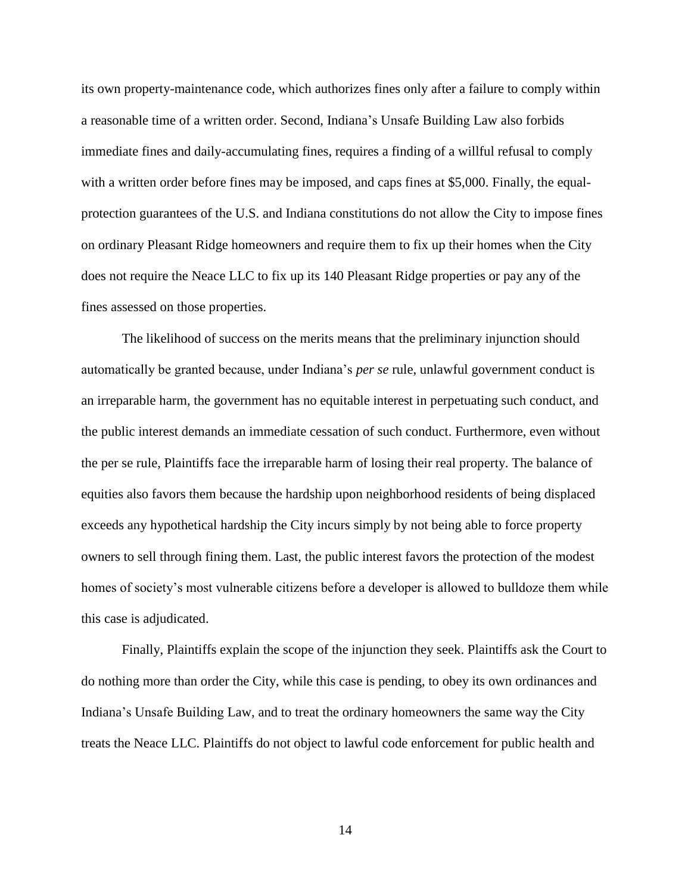its own property-maintenance code, which authorizes fines only after a failure to comply within a reasonable time of a written order. Second, Indiana's Unsafe Building Law also forbids immediate fines and daily-accumulating fines, requires a finding of a willful refusal to comply with a written order before fines may be imposed, and caps fines at \$5,000. Finally, the equalprotection guarantees of the U.S. and Indiana constitutions do not allow the City to impose fines on ordinary Pleasant Ridge homeowners and require them to fix up their homes when the City does not require the Neace LLC to fix up its 140 Pleasant Ridge properties or pay any of the fines assessed on those properties.

The likelihood of success on the merits means that the preliminary injunction should automatically be granted because, under Indiana's *per se* rule, unlawful government conduct is an irreparable harm, the government has no equitable interest in perpetuating such conduct, and the public interest demands an immediate cessation of such conduct. Furthermore, even without the per se rule, Plaintiffs face the irreparable harm of losing their real property. The balance of equities also favors them because the hardship upon neighborhood residents of being displaced exceeds any hypothetical hardship the City incurs simply by not being able to force property owners to sell through fining them. Last, the public interest favors the protection of the modest homes of society's most vulnerable citizens before a developer is allowed to bulldoze them while this case is adjudicated.

Finally, Plaintiffs explain the scope of the injunction they seek. Plaintiffs ask the Court to do nothing more than order the City, while this case is pending, to obey its own ordinances and Indiana's Unsafe Building Law, and to treat the ordinary homeowners the same way the City treats the Neace LLC. Plaintiffs do not object to lawful code enforcement for public health and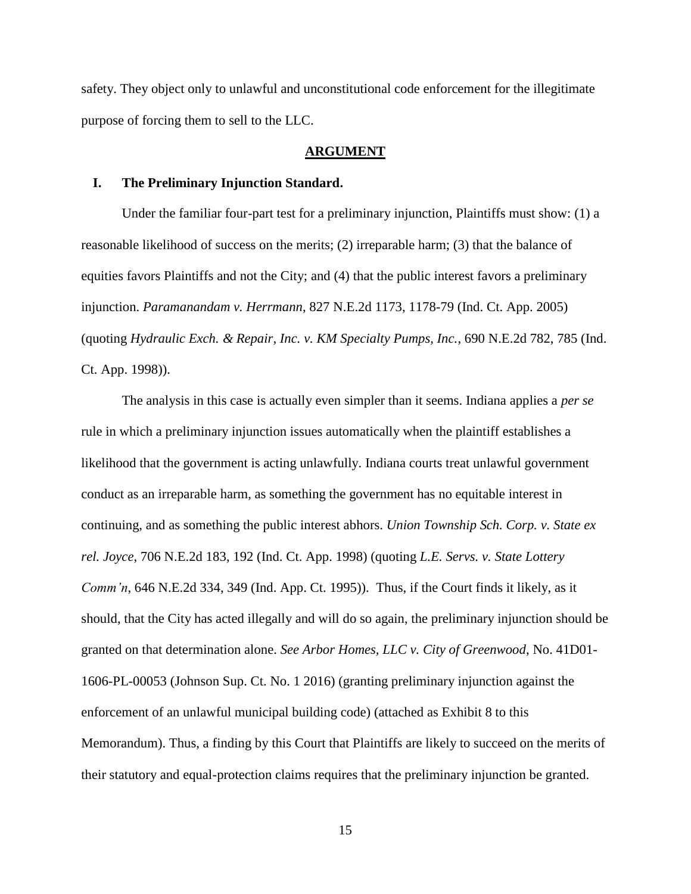safety. They object only to unlawful and unconstitutional code enforcement for the illegitimate purpose of forcing them to sell to the LLC.

#### **ARGUMENT**

#### **I. The Preliminary Injunction Standard.**

Under the familiar four-part test for a preliminary injunction, Plaintiffs must show: (1) a reasonable likelihood of success on the merits; (2) irreparable harm; (3) that the balance of equities favors Plaintiffs and not the City; and (4) that the public interest favors a preliminary injunction. *Paramanandam v. Herrmann*, 827 N.E.2d 1173, 1178-79 (Ind. Ct. App. 2005) (quoting *Hydraulic Exch. & Repair, Inc. v. KM Specialty Pumps, Inc.*, 690 N.E.2d 782, 785 (Ind. Ct. App. 1998)).

The analysis in this case is actually even simpler than it seems. Indiana applies a *per se*  rule in which a preliminary injunction issues automatically when the plaintiff establishes a likelihood that the government is acting unlawfully. Indiana courts treat unlawful government conduct as an irreparable harm, as something the government has no equitable interest in continuing, and as something the public interest abhors. *Union Township Sch. Corp. v. State ex rel. Joyce*, 706 N.E.2d 183, 192 (Ind. Ct. App. 1998) (quoting *L.E. Servs. v. State Lottery Comm'n*, 646 N.E.2d 334, 349 (Ind. App. Ct. 1995)). Thus, if the Court finds it likely, as it should, that the City has acted illegally and will do so again, the preliminary injunction should be granted on that determination alone. *See Arbor Homes, LLC v. City of Greenwood*, No. 41D01- 1606-PL-00053 (Johnson Sup. Ct. No. 1 2016) (granting preliminary injunction against the enforcement of an unlawful municipal building code) (attached as Exhibit 8 to this Memorandum). Thus, a finding by this Court that Plaintiffs are likely to succeed on the merits of their statutory and equal-protection claims requires that the preliminary injunction be granted.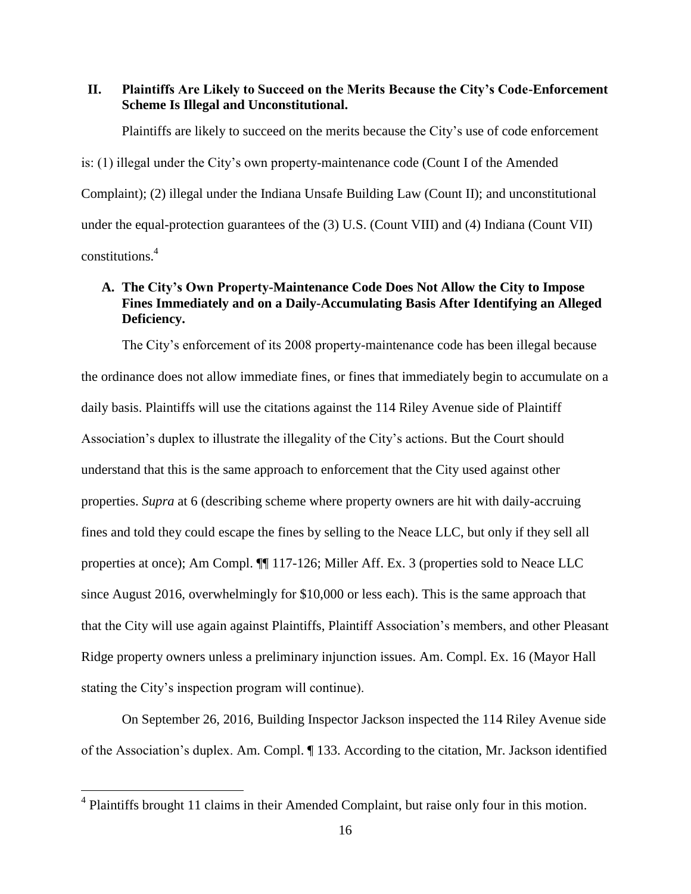### **II. Plaintiffs Are Likely to Succeed on the Merits Because the City's Code-Enforcement Scheme Is Illegal and Unconstitutional.**

Plaintiffs are likely to succeed on the merits because the City's use of code enforcement is: (1) illegal under the City's own property-maintenance code (Count I of the Amended Complaint); (2) illegal under the Indiana Unsafe Building Law (Count II); and unconstitutional under the equal-protection guarantees of the (3) U.S. (Count VIII) and (4) Indiana (Count VII) constitutions.<sup>4</sup>

# **A. The City's Own Property-Maintenance Code Does Not Allow the City to Impose Fines Immediately and on a Daily-Accumulating Basis After Identifying an Alleged Deficiency.**

The City's enforcement of its 2008 property-maintenance code has been illegal because the ordinance does not allow immediate fines, or fines that immediately begin to accumulate on a daily basis. Plaintiffs will use the citations against the 114 Riley Avenue side of Plaintiff Association's duplex to illustrate the illegality of the City's actions. But the Court should understand that this is the same approach to enforcement that the City used against other properties. *Supra* at 6 (describing scheme where property owners are hit with daily-accruing fines and told they could escape the fines by selling to the Neace LLC, but only if they sell all properties at once); Am Compl. ¶¶ 117-126; Miller Aff. Ex. 3 (properties sold to Neace LLC since August 2016, overwhelmingly for \$10,000 or less each). This is the same approach that that the City will use again against Plaintiffs, Plaintiff Association's members, and other Pleasant Ridge property owners unless a preliminary injunction issues. Am. Compl. Ex. 16 (Mayor Hall stating the City's inspection program will continue).

On September 26, 2016, Building Inspector Jackson inspected the 114 Riley Avenue side of the Association's duplex. Am. Compl. ¶ 133. According to the citation, Mr. Jackson identified

 $\overline{a}$ 

<sup>&</sup>lt;sup>4</sup> Plaintiffs brought 11 claims in their Amended Complaint, but raise only four in this motion.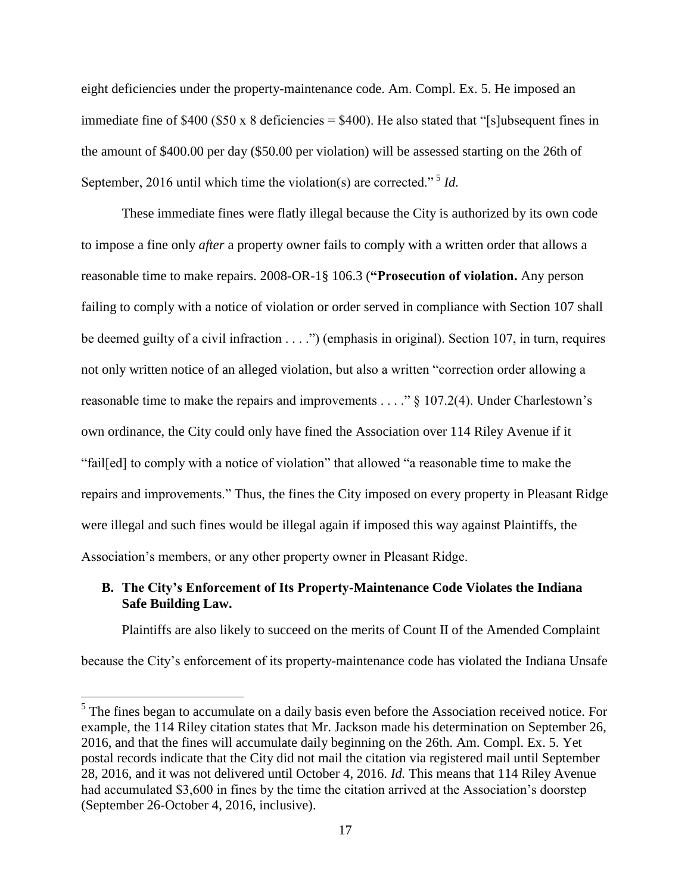eight deficiencies under the property-maintenance code. Am. Compl. Ex. 5. He imposed an immediate fine of \$400 (\$50 x 8 deficiencies = \$400). He also stated that "[s]ubsequent fines in the amount of \$400.00 per day (\$50.00 per violation) will be assessed starting on the 26th of September, 2016 until which time the violation(s) are corrected."<sup>5</sup> Id.

These immediate fines were flatly illegal because the City is authorized by its own code to impose a fine only *after* a property owner fails to comply with a written order that allows a reasonable time to make repairs. 2008-OR-1§ 106.3 (**"Prosecution of violation.** Any person failing to comply with a notice of violation or order served in compliance with Section 107 shall be deemed guilty of a civil infraction . . . .") (emphasis in original). Section 107, in turn, requires not only written notice of an alleged violation, but also a written "correction order allowing a reasonable time to make the repairs and improvements . . . ." § 107.2(4). Under Charlestown's own ordinance, the City could only have fined the Association over 114 Riley Avenue if it "fail[ed] to comply with a notice of violation" that allowed "a reasonable time to make the repairs and improvements." Thus, the fines the City imposed on every property in Pleasant Ridge were illegal and such fines would be illegal again if imposed this way against Plaintiffs, the Association's members, or any other property owner in Pleasant Ridge.

## **B. The City's Enforcement of Its Property-Maintenance Code Violates the Indiana Safe Building Law.**

Plaintiffs are also likely to succeed on the merits of Count II of the Amended Complaint because the City's enforcement of its property-maintenance code has violated the Indiana Unsafe

<sup>&</sup>lt;sup>5</sup> The fines began to accumulate on a daily basis even before the Association received notice. For example, the 114 Riley citation states that Mr. Jackson made his determination on September 26, 2016, and that the fines will accumulate daily beginning on the 26th. Am. Compl. Ex. 5. Yet postal records indicate that the City did not mail the citation via registered mail until September 28, 2016, and it was not delivered until October 4, 2016. *Id.* This means that 114 Riley Avenue had accumulated \$3,600 in fines by the time the citation arrived at the Association's doorstep (September 26-October 4, 2016, inclusive).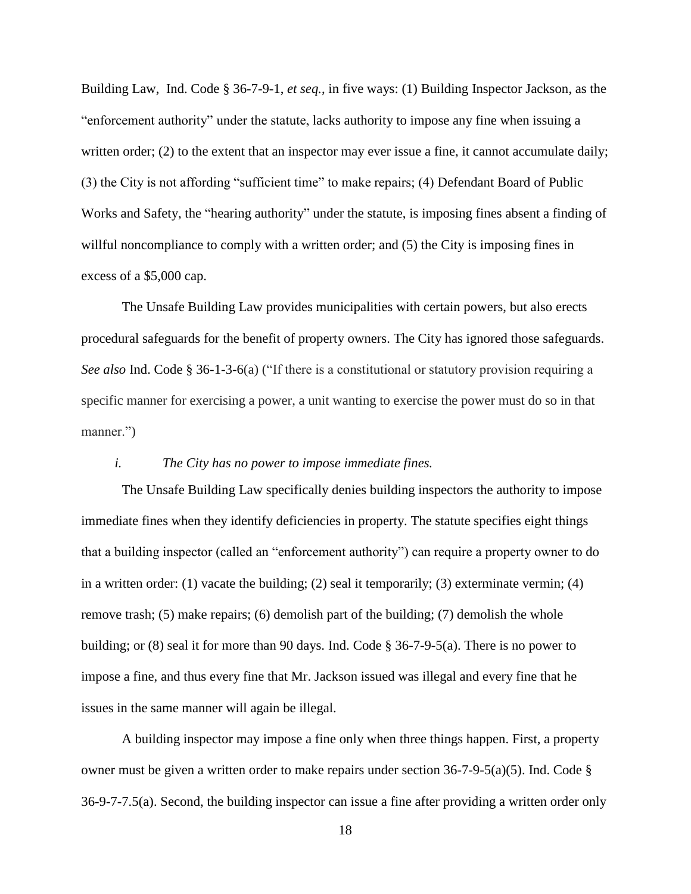Building Law, Ind. Code § 36-7-9-1, *et seq.*, in five ways: (1) Building Inspector Jackson, as the "enforcement authority" under the statute, lacks authority to impose any fine when issuing a written order; (2) to the extent that an inspector may ever issue a fine, it cannot accumulate daily; (3) the City is not affording "sufficient time" to make repairs; (4) Defendant Board of Public Works and Safety, the "hearing authority" under the statute, is imposing fines absent a finding of willful noncompliance to comply with a written order; and (5) the City is imposing fines in excess of a \$5,000 cap.

The Unsafe Building Law provides municipalities with certain powers, but also erects procedural safeguards for the benefit of property owners. The City has ignored those safeguards. *See also* Ind. Code § 36-1-3-6(a) ("If there is a constitutional or statutory provision requiring a specific manner for exercising a power, a unit wanting to exercise the power must do so in that manner.")

#### *i. The City has no power to impose immediate fines.*

The Unsafe Building Law specifically denies building inspectors the authority to impose immediate fines when they identify deficiencies in property. The statute specifies eight things that a building inspector (called an "enforcement authority") can require a property owner to do in a written order: (1) vacate the building; (2) seal it temporarily; (3) exterminate vermin; (4) remove trash; (5) make repairs; (6) demolish part of the building; (7) demolish the whole building; or (8) seal it for more than 90 days. Ind. Code § 36-7-9-5(a). There is no power to impose a fine, and thus every fine that Mr. Jackson issued was illegal and every fine that he issues in the same manner will again be illegal.

A building inspector may impose a fine only when three things happen. First, a property owner must be given a written order to make repairs under section 36-7-9-5(a)(5). Ind. Code § 36-9-7-7.5(a). Second, the building inspector can issue a fine after providing a written order only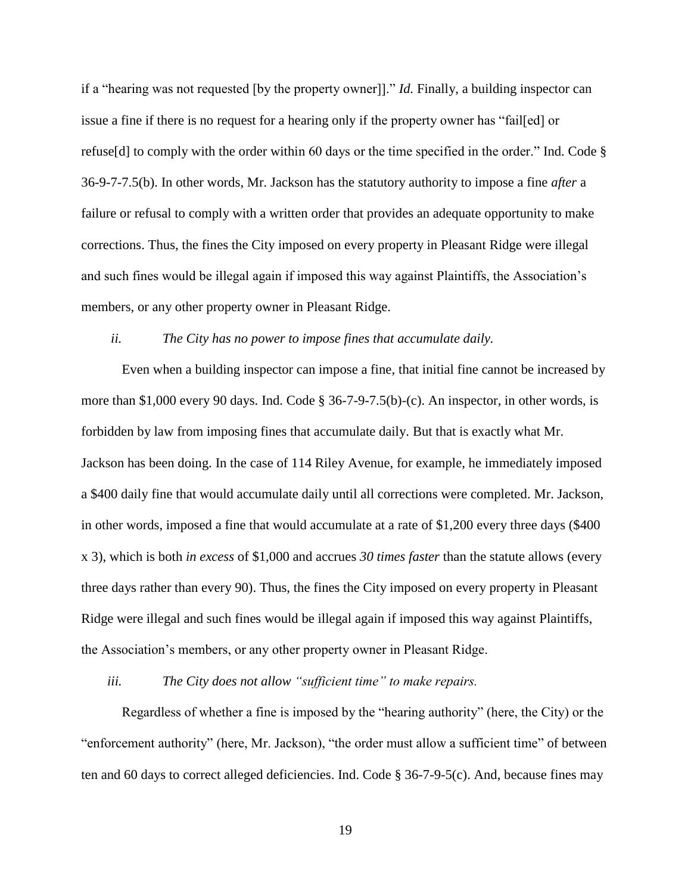if a "hearing was not requested [by the property owner]]." *Id.* Finally, a building inspector can issue a fine if there is no request for a hearing only if the property owner has "fail[ed] or refuse[d] to comply with the order within 60 days or the time specified in the order." Ind. Code § 36-9-7-7.5(b). In other words, Mr. Jackson has the statutory authority to impose a fine *after* a failure or refusal to comply with a written order that provides an adequate opportunity to make corrections. Thus, the fines the City imposed on every property in Pleasant Ridge were illegal and such fines would be illegal again if imposed this way against Plaintiffs, the Association's members, or any other property owner in Pleasant Ridge.

#### *ii. The City has no power to impose fines that accumulate daily.*

Even when a building inspector can impose a fine, that initial fine cannot be increased by more than \$1,000 every 90 days. Ind. Code § 36-7-9-7.5(b)-(c). An inspector, in other words, is forbidden by law from imposing fines that accumulate daily. But that is exactly what Mr. Jackson has been doing. In the case of 114 Riley Avenue, for example, he immediately imposed a \$400 daily fine that would accumulate daily until all corrections were completed. Mr. Jackson, in other words, imposed a fine that would accumulate at a rate of \$1,200 every three days (\$400 x 3), which is both *in excess* of \$1,000 and accrues *30 times faster* than the statute allows (every three days rather than every 90). Thus, the fines the City imposed on every property in Pleasant Ridge were illegal and such fines would be illegal again if imposed this way against Plaintiffs, the Association's members, or any other property owner in Pleasant Ridge.

*iii. The City does not allow "sufficient time" to make repairs.*

Regardless of whether a fine is imposed by the "hearing authority" (here, the City) or the "enforcement authority" (here, Mr. Jackson), "the order must allow a sufficient time" of between ten and 60 days to correct alleged deficiencies. Ind. Code § 36-7-9-5(c). And, because fines may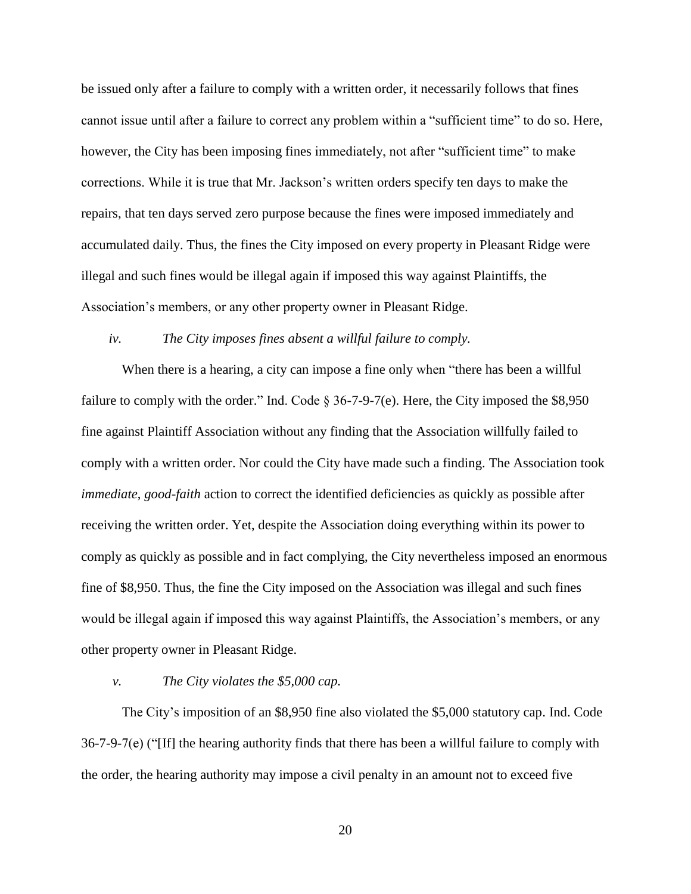be issued only after a failure to comply with a written order, it necessarily follows that fines cannot issue until after a failure to correct any problem within a "sufficient time" to do so. Here, however, the City has been imposing fines immediately, not after "sufficient time" to make corrections. While it is true that Mr. Jackson's written orders specify ten days to make the repairs, that ten days served zero purpose because the fines were imposed immediately and accumulated daily. Thus, the fines the City imposed on every property in Pleasant Ridge were illegal and such fines would be illegal again if imposed this way against Plaintiffs, the Association's members, or any other property owner in Pleasant Ridge.

### *iv. The City imposes fines absent a willful failure to comply.*

When there is a hearing, a city can impose a fine only when "there has been a willful" failure to comply with the order." Ind. Code  $\S 36$ -7-9-7(e). Here, the City imposed the \$8,950 fine against Plaintiff Association without any finding that the Association willfully failed to comply with a written order. Nor could the City have made such a finding. The Association took *immediate*, *good-faith* action to correct the identified deficiencies as quickly as possible after receiving the written order. Yet, despite the Association doing everything within its power to comply as quickly as possible and in fact complying, the City nevertheless imposed an enormous fine of \$8,950. Thus, the fine the City imposed on the Association was illegal and such fines would be illegal again if imposed this way against Plaintiffs, the Association's members, or any other property owner in Pleasant Ridge.

### *v. The City violates the \$5,000 cap.*

The City's imposition of an \$8,950 fine also violated the \$5,000 statutory cap. Ind. Code  $36-7-9-7(e)$  ("[If] the hearing authority finds that there has been a willful failure to comply with the order, the hearing authority may impose a civil penalty in an amount not to exceed five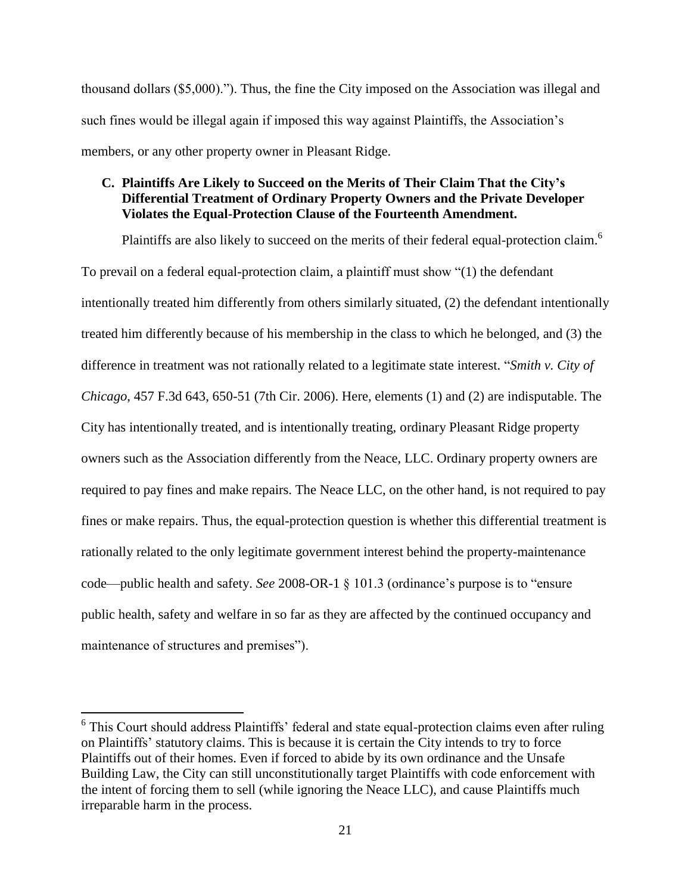thousand dollars (\$5,000)."). Thus, the fine the City imposed on the Association was illegal and such fines would be illegal again if imposed this way against Plaintiffs, the Association's members, or any other property owner in Pleasant Ridge.

# **C. Plaintiffs Are Likely to Succeed on the Merits of Their Claim That the City's Differential Treatment of Ordinary Property Owners and the Private Developer Violates the Equal-Protection Clause of the Fourteenth Amendment.**

Plaintiffs are also likely to succeed on the merits of their federal equal-protection claim.<sup>6</sup> To prevail on a federal equal-protection claim, a plaintiff must show "(1) the defendant intentionally treated him differently from others similarly situated, (2) the defendant intentionally treated him differently because of his membership in the class to which he belonged, and (3) the difference in treatment was not rationally related to a legitimate state interest. "*Smith v. City of Chicago*, 457 F.3d 643, 650-51 (7th Cir. 2006). Here, elements (1) and (2) are indisputable. The City has intentionally treated, and is intentionally treating, ordinary Pleasant Ridge property owners such as the Association differently from the Neace, LLC. Ordinary property owners are required to pay fines and make repairs. The Neace LLC, on the other hand, is not required to pay fines or make repairs. Thus, the equal-protection question is whether this differential treatment is rationally related to the only legitimate government interest behind the property-maintenance code—public health and safety. *See* 2008-OR-1 § 101.3 (ordinance's purpose is to "ensure public health, safety and welfare in so far as they are affected by the continued occupancy and maintenance of structures and premises").

 $\overline{a}$ 

<sup>&</sup>lt;sup>6</sup> This Court should address Plaintiffs' federal and state equal-protection claims even after ruling on Plaintiffs' statutory claims. This is because it is certain the City intends to try to force Plaintiffs out of their homes. Even if forced to abide by its own ordinance and the Unsafe Building Law, the City can still unconstitutionally target Plaintiffs with code enforcement with the intent of forcing them to sell (while ignoring the Neace LLC), and cause Plaintiffs much irreparable harm in the process.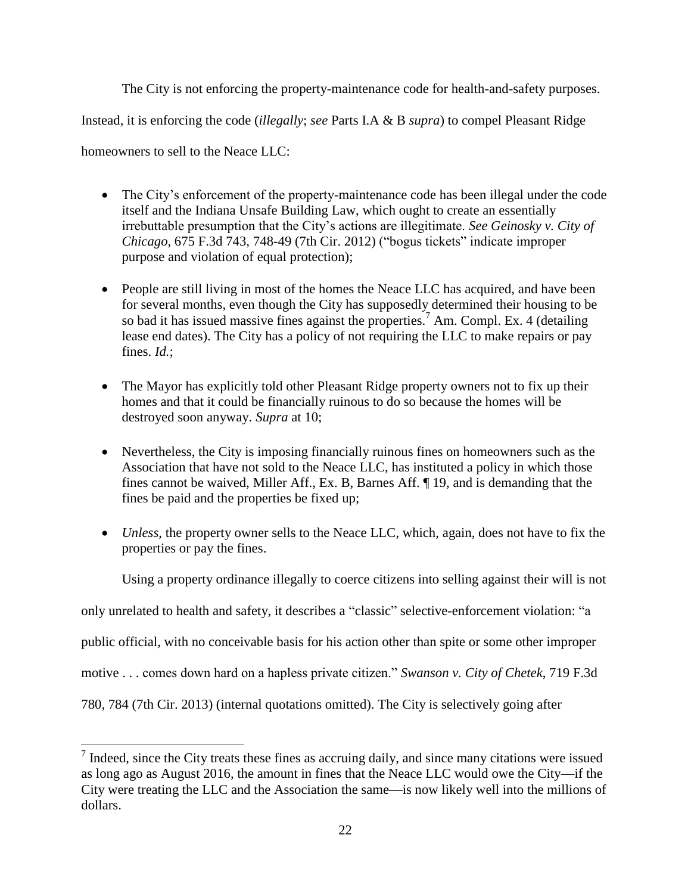The City is not enforcing the property-maintenance code for health-and-safety purposes.

Instead, it is enforcing the code (*illegally*; *see* Parts I.A & B *supra*) to compel Pleasant Ridge

homeowners to sell to the Neace LLC:

 $\overline{a}$ 

- The City's enforcement of the property-maintenance code has been illegal under the code itself and the Indiana Unsafe Building Law, which ought to create an essentially irrebuttable presumption that the City's actions are illegitimate. *See Geinosky v. City of Chicago*, 675 F.3d 743, 748-49 (7th Cir. 2012) ("bogus tickets" indicate improper purpose and violation of equal protection);
- People are still living in most of the homes the Neace LLC has acquired, and have been for several months, even though the City has supposedly determined their housing to be so bad it has issued massive fines against the properties.<sup>7</sup> Am. Compl. Ex. 4 (detailing lease end dates). The City has a policy of not requiring the LLC to make repairs or pay fines. *Id.*;
- The Mayor has explicitly told other Pleasant Ridge property owners not to fix up their homes and that it could be financially ruinous to do so because the homes will be destroyed soon anyway. *Supra* at 10;
- Nevertheless, the City is imposing financially ruinous fines on homeowners such as the Association that have not sold to the Neace LLC, has instituted a policy in which those fines cannot be waived, Miller Aff., Ex. B, Barnes Aff. ¶ 19, and is demanding that the fines be paid and the properties be fixed up;
- *Unless*, the property owner sells to the Neace LLC, which, again, does not have to fix the properties or pay the fines.

Using a property ordinance illegally to coerce citizens into selling against their will is not

only unrelated to health and safety, it describes a "classic" selective-enforcement violation: "a

public official, with no conceivable basis for his action other than spite or some other improper

motive . . . comes down hard on a hapless private citizen." *Swanson v. City of Chetek*, 719 F.3d

780, 784 (7th Cir. 2013) (internal quotations omitted). The City is selectively going after

 $<sup>7</sup>$  Indeed, since the City treats these fines as accruing daily, and since many citations were issued</sup> as long ago as August 2016, the amount in fines that the Neace LLC would owe the City—if the City were treating the LLC and the Association the same—is now likely well into the millions of dollars.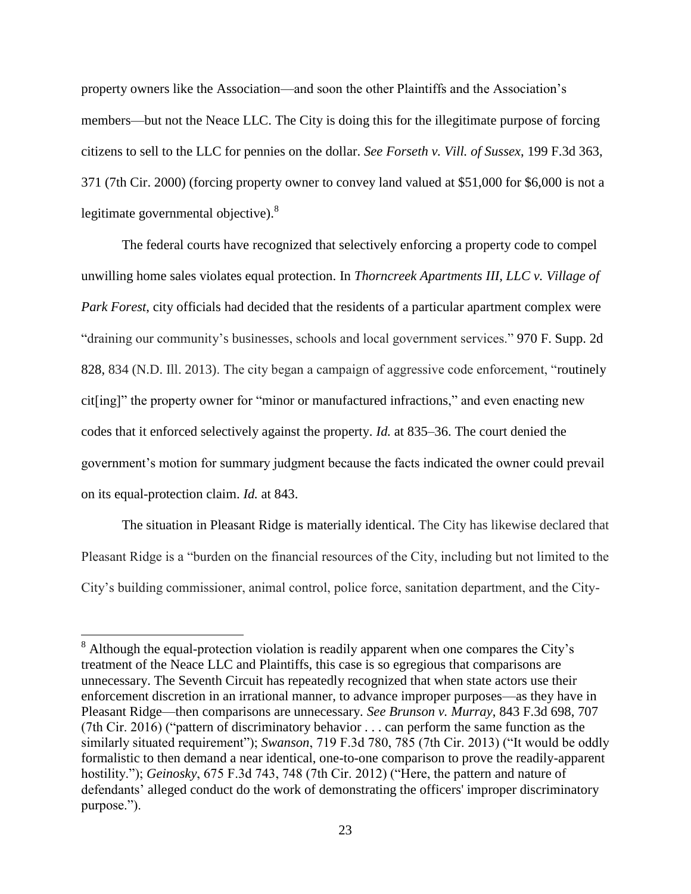property owners like the Association—and soon the other Plaintiffs and the Association's members—but not the Neace LLC. The City is doing this for the illegitimate purpose of forcing citizens to sell to the LLC for pennies on the dollar. *See Forseth v. Vill. of Sussex*, 199 F.3d 363, 371 (7th Cir. 2000) (forcing property owner to convey land valued at \$51,000 for \$6,000 is not a legitimate governmental objective). $^{8}$ 

The federal courts have recognized that selectively enforcing a property code to compel unwilling home sales violates equal protection. In *Thorncreek Apartments III, LLC v. Village of Park Forest*, city officials had decided that the residents of a particular apartment complex were "draining our community's businesses, schools and local government services." 970 F. Supp. 2d 828, 834 (N.D. Ill. 2013). The city began a campaign of aggressive code enforcement, "routinely cit[ing]" the property owner for "minor or manufactured infractions," and even enacting new codes that it enforced selectively against the property. *Id.* at 835–36. The court denied the government's motion for summary judgment because the facts indicated the owner could prevail on its equal-protection claim. *Id.* at 843.

The situation in Pleasant Ridge is materially identical. The City has likewise declared that Pleasant Ridge is a "burden on the financial resources of the City, including but not limited to the City's building commissioner, animal control, police force, sanitation department, and the City-

 $\overline{a}$ 

<sup>&</sup>lt;sup>8</sup> Although the equal-protection violation is readily apparent when one compares the City's treatment of the Neace LLC and Plaintiffs, this case is so egregious that comparisons are unnecessary. The Seventh Circuit has repeatedly recognized that when state actors use their enforcement discretion in an irrational manner, to advance improper purposes—as they have in Pleasant Ridge—then comparisons are unnecessary. *See Brunson v. Murray*, 843 F.3d 698, 707 (7th Cir. 2016) ("pattern of discriminatory behavior . . . can perform the same function as the similarly situated requirement"); *Swanson*, 719 F.3d 780, 785 (7th Cir. 2013) ("It would be oddly formalistic to then demand a near identical, one-to-one comparison to prove the readily-apparent hostility."); *Geinosky*, 675 F.3d 743, 748 (7th Cir. 2012) ("Here, the pattern and nature of defendants' alleged conduct do the work of demonstrating the officers' improper discriminatory purpose.").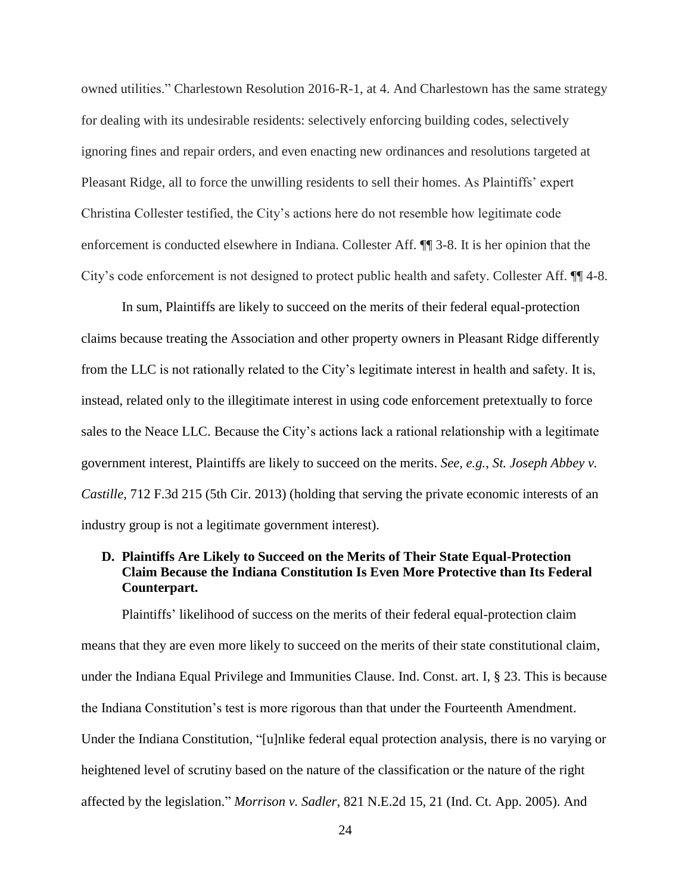owned utilities." Charlestown Resolution 2016-R-1, at 4. And Charlestown has the same strategy for dealing with its undesirable residents: selectively enforcing building codes, selectively ignoring fines and repair orders, and even enacting new ordinances and resolutions targeted at Pleasant Ridge, all to force the unwilling residents to sell their homes. As Plaintiffs' expert Christina Collester testified, the City's actions here do not resemble how legitimate code enforcement is conducted elsewhere in Indiana. Collester Aff. ¶¶ 3-8. It is her opinion that the City's code enforcement is not designed to protect public health and safety. Collester Aff. ¶¶ 4-8.

In sum, Plaintiffs are likely to succeed on the merits of their federal equal-protection claims because treating the Association and other property owners in Pleasant Ridge differently from the LLC is not rationally related to the City's legitimate interest in health and safety. It is, instead, related only to the illegitimate interest in using code enforcement pretextually to force sales to the Neace LLC. Because the City's actions lack a rational relationship with a legitimate government interest, Plaintiffs are likely to succeed on the merits. *See, e.g.*, *St. Joseph Abbey v. Castille*, 712 F.3d 215 (5th Cir. 2013) (holding that serving the private economic interests of an industry group is not a legitimate government interest).

## **D. Plaintiffs Are Likely to Succeed on the Merits of Their State Equal-Protection Claim Because the Indiana Constitution Is Even More Protective than Its Federal Counterpart.**

Plaintiffs' likelihood of success on the merits of their federal equal-protection claim means that they are even more likely to succeed on the merits of their state constitutional claim, under the Indiana Equal Privilege and Immunities Clause. Ind. Const. art. I, § 23. This is because the Indiana Constitution's test is more rigorous than that under the Fourteenth Amendment. Under the Indiana Constitution, "[u]nlike federal equal protection analysis, there is no varying or heightened level of scrutiny based on the nature of the classification or the nature of the right affected by the legislation." *Morrison v. Sadler*, 821 N.E.2d 15, 21 (Ind. Ct. App. 2005). And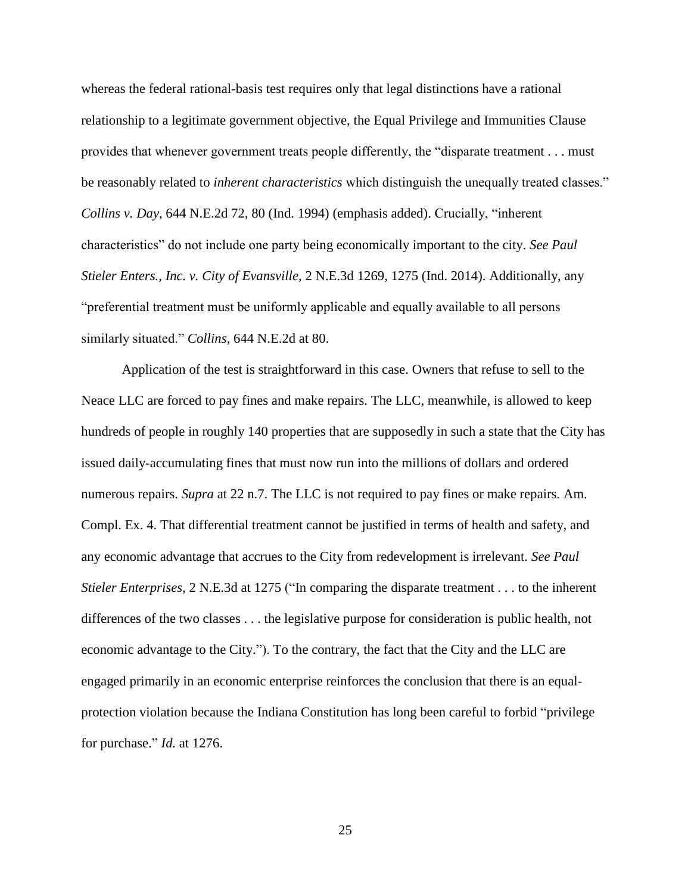whereas the federal rational-basis test requires only that legal distinctions have a rational relationship to a legitimate government objective, the Equal Privilege and Immunities Clause provides that whenever government treats people differently, the "disparate treatment . . . must be reasonably related to *inherent characteristics* which distinguish the unequally treated classes." *Collins v. Day*, 644 N.E.2d 72, 80 (Ind. 1994) (emphasis added). Crucially, "inherent characteristics" do not include one party being economically important to the city. *See Paul Stieler Enters., Inc. v. City of Evansville*, 2 N.E.3d 1269, 1275 (Ind. 2014). Additionally, any "preferential treatment must be uniformly applicable and equally available to all persons similarly situated." *Collins*, 644 N.E.2d at 80.

Application of the test is straightforward in this case. Owners that refuse to sell to the Neace LLC are forced to pay fines and make repairs. The LLC, meanwhile, is allowed to keep hundreds of people in roughly 140 properties that are supposedly in such a state that the City has issued daily-accumulating fines that must now run into the millions of dollars and ordered numerous repairs. *Supra* at 22 n.7. The LLC is not required to pay fines or make repairs. Am. Compl. Ex. 4. That differential treatment cannot be justified in terms of health and safety, and any economic advantage that accrues to the City from redevelopment is irrelevant. *See Paul Stieler Enterprises*, 2 N.E.3d at 1275 ("In comparing the disparate treatment . . . to the inherent differences of the two classes . . . the legislative purpose for consideration is public health, not economic advantage to the City."). To the contrary, the fact that the City and the LLC are engaged primarily in an economic enterprise reinforces the conclusion that there is an equalprotection violation because the Indiana Constitution has long been careful to forbid "privilege for purchase." *Id.* at 1276.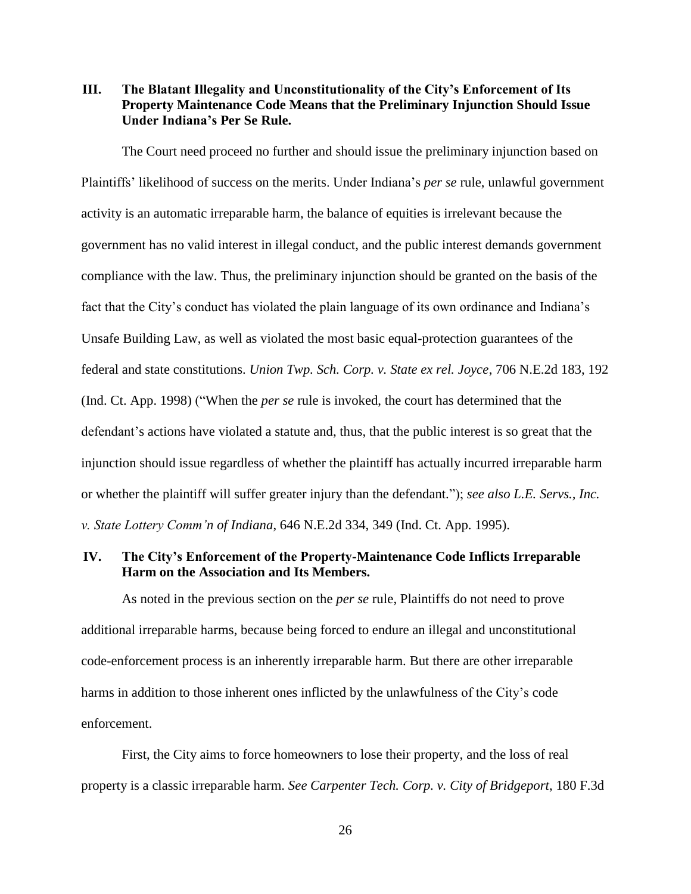**III. The Blatant Illegality and Unconstitutionality of the City's Enforcement of Its Property Maintenance Code Means that the Preliminary Injunction Should Issue Under Indiana's Per Se Rule.**

The Court need proceed no further and should issue the preliminary injunction based on Plaintiffs' likelihood of success on the merits. Under Indiana's *per se* rule, unlawful government activity is an automatic irreparable harm, the balance of equities is irrelevant because the government has no valid interest in illegal conduct, and the public interest demands government compliance with the law. Thus, the preliminary injunction should be granted on the basis of the fact that the City's conduct has violated the plain language of its own ordinance and Indiana's Unsafe Building Law, as well as violated the most basic equal-protection guarantees of the federal and state constitutions. *Union Twp. Sch. Corp. v. State ex rel. Joyce*, 706 N.E.2d 183, 192 (Ind. Ct. App. 1998) ("When the *per se* rule is invoked, the court has determined that the defendant's actions have violated a statute and, thus, that the public interest is so great that the injunction should issue regardless of whether the plaintiff has actually incurred irreparable harm or whether the plaintiff will suffer greater injury than the defendant."); *see also L.E. Servs., Inc. v. State Lottery Comm'n of Indiana*, 646 N.E.2d 334, 349 (Ind. Ct. App. 1995).

## **IV. The City's Enforcement of the Property-Maintenance Code Inflicts Irreparable Harm on the Association and Its Members.**

As noted in the previous section on the *per se* rule, Plaintiffs do not need to prove additional irreparable harms, because being forced to endure an illegal and unconstitutional code-enforcement process is an inherently irreparable harm. But there are other irreparable harms in addition to those inherent ones inflicted by the unlawfulness of the City's code enforcement.

First, the City aims to force homeowners to lose their property, and the loss of real property is a classic irreparable harm. *See Carpenter Tech. Corp. v. City of Bridgeport*, 180 F.3d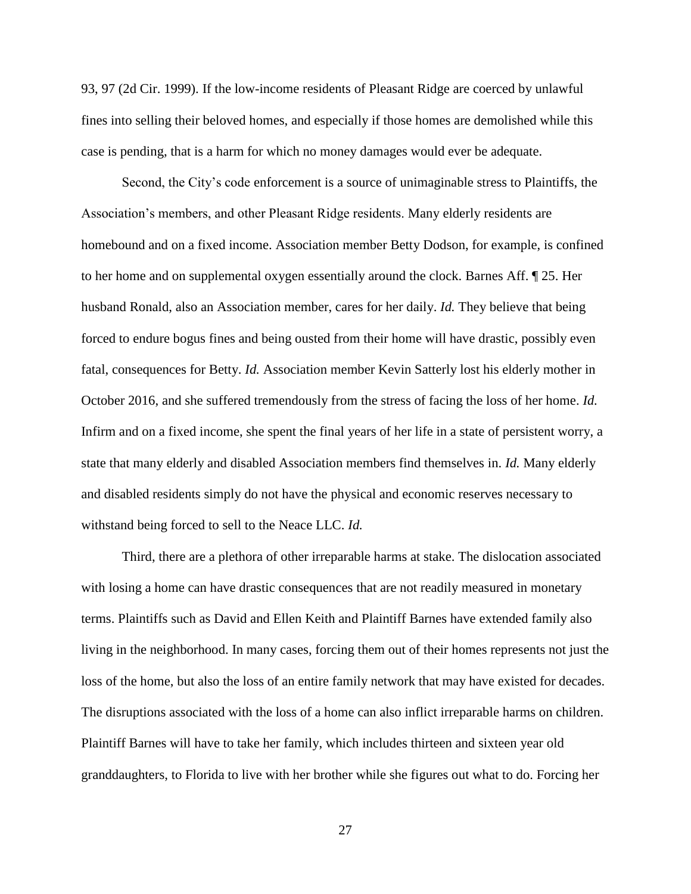93, 97 (2d Cir. 1999). If the low-income residents of Pleasant Ridge are coerced by unlawful fines into selling their beloved homes, and especially if those homes are demolished while this case is pending, that is a harm for which no money damages would ever be adequate.

Second, the City's code enforcement is a source of unimaginable stress to Plaintiffs, the Association's members, and other Pleasant Ridge residents. Many elderly residents are homebound and on a fixed income. Association member Betty Dodson, for example, is confined to her home and on supplemental oxygen essentially around the clock. Barnes Aff. ¶ 25. Her husband Ronald, also an Association member, cares for her daily. *Id.* They believe that being forced to endure bogus fines and being ousted from their home will have drastic, possibly even fatal, consequences for Betty. *Id.* Association member Kevin Satterly lost his elderly mother in October 2016, and she suffered tremendously from the stress of facing the loss of her home. *Id.* Infirm and on a fixed income, she spent the final years of her life in a state of persistent worry, a state that many elderly and disabled Association members find themselves in. *Id.* Many elderly and disabled residents simply do not have the physical and economic reserves necessary to withstand being forced to sell to the Neace LLC. *Id.*

Third, there are a plethora of other irreparable harms at stake. The dislocation associated with losing a home can have drastic consequences that are not readily measured in monetary terms. Plaintiffs such as David and Ellen Keith and Plaintiff Barnes have extended family also living in the neighborhood. In many cases, forcing them out of their homes represents not just the loss of the home, but also the loss of an entire family network that may have existed for decades. The disruptions associated with the loss of a home can also inflict irreparable harms on children. Plaintiff Barnes will have to take her family, which includes thirteen and sixteen year old granddaughters, to Florida to live with her brother while she figures out what to do. Forcing her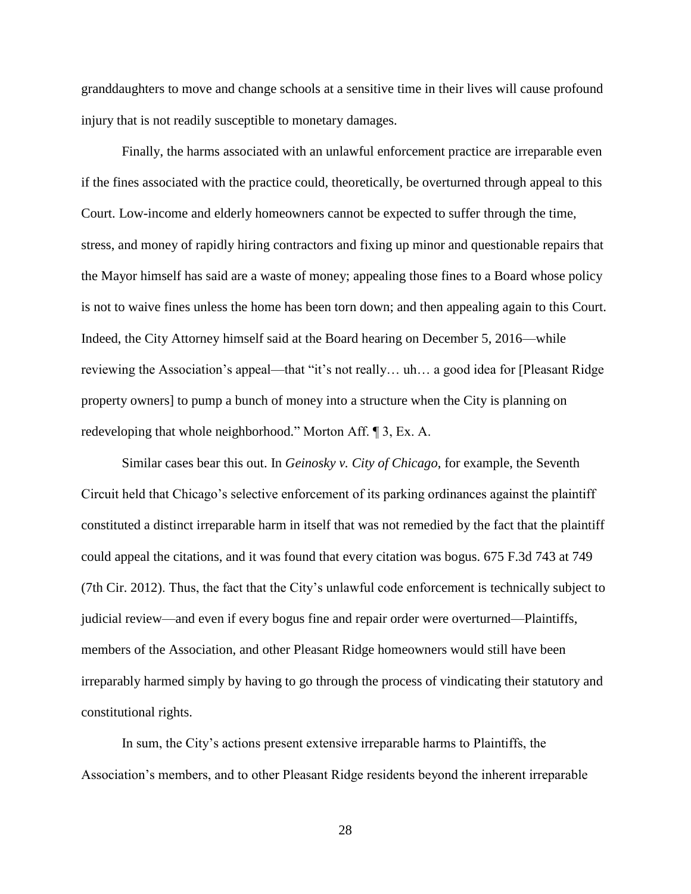granddaughters to move and change schools at a sensitive time in their lives will cause profound injury that is not readily susceptible to monetary damages.

Finally, the harms associated with an unlawful enforcement practice are irreparable even if the fines associated with the practice could, theoretically, be overturned through appeal to this Court. Low-income and elderly homeowners cannot be expected to suffer through the time, stress, and money of rapidly hiring contractors and fixing up minor and questionable repairs that the Mayor himself has said are a waste of money; appealing those fines to a Board whose policy is not to waive fines unless the home has been torn down; and then appealing again to this Court. Indeed, the City Attorney himself said at the Board hearing on December 5, 2016—while reviewing the Association's appeal—that "it's not really… uh… a good idea for [Pleasant Ridge property owners] to pump a bunch of money into a structure when the City is planning on redeveloping that whole neighborhood." Morton Aff. ¶ 3, Ex. A.

Similar cases bear this out. In *Geinosky v. City of Chicago*, for example, the Seventh Circuit held that Chicago's selective enforcement of its parking ordinances against the plaintiff constituted a distinct irreparable harm in itself that was not remedied by the fact that the plaintiff could appeal the citations, and it was found that every citation was bogus. 675 F.3d 743 at 749 (7th Cir. 2012). Thus, the fact that the City's unlawful code enforcement is technically subject to judicial review—and even if every bogus fine and repair order were overturned—Plaintiffs, members of the Association, and other Pleasant Ridge homeowners would still have been irreparably harmed simply by having to go through the process of vindicating their statutory and constitutional rights.

In sum, the City's actions present extensive irreparable harms to Plaintiffs, the Association's members, and to other Pleasant Ridge residents beyond the inherent irreparable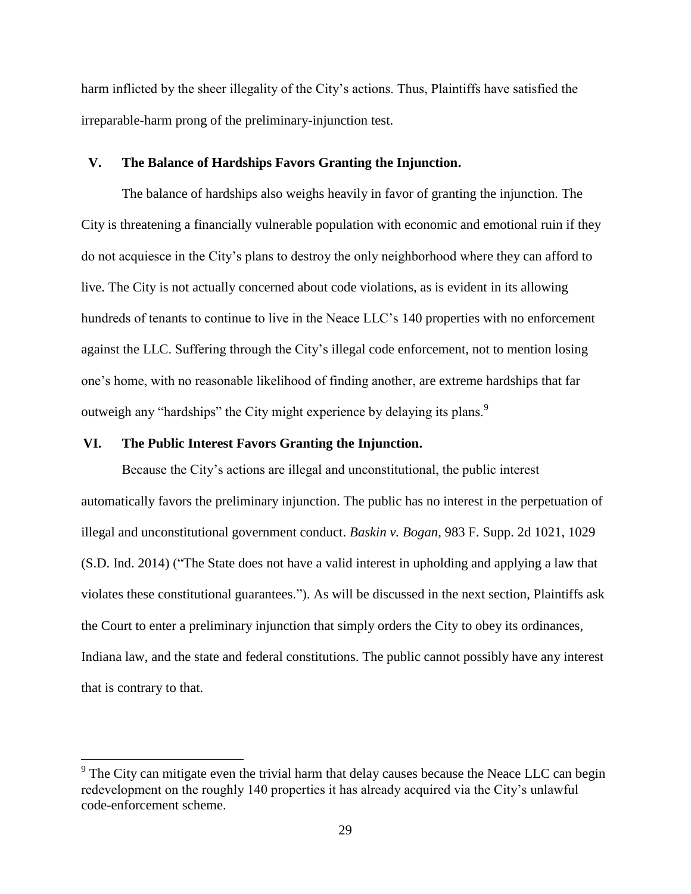harm inflicted by the sheer illegality of the City's actions. Thus, Plaintiffs have satisfied the irreparable-harm prong of the preliminary-injunction test.

### **V. The Balance of Hardships Favors Granting the Injunction.**

The balance of hardships also weighs heavily in favor of granting the injunction. The City is threatening a financially vulnerable population with economic and emotional ruin if they do not acquiesce in the City's plans to destroy the only neighborhood where they can afford to live. The City is not actually concerned about code violations, as is evident in its allowing hundreds of tenants to continue to live in the Neace LLC's 140 properties with no enforcement against the LLC. Suffering through the City's illegal code enforcement, not to mention losing one's home, with no reasonable likelihood of finding another, are extreme hardships that far outweigh any "hardships" the City might experience by delaying its plans.<sup>9</sup>

## **VI. The Public Interest Favors Granting the Injunction.**

 $\overline{a}$ 

Because the City's actions are illegal and unconstitutional, the public interest automatically favors the preliminary injunction. The public has no interest in the perpetuation of illegal and unconstitutional government conduct. *Baskin v. Bogan*, 983 F. Supp. 2d 1021, 1029 (S.D. Ind. 2014) ("The State does not have a valid interest in upholding and applying a law that violates these constitutional guarantees."). As will be discussed in the next section, Plaintiffs ask the Court to enter a preliminary injunction that simply orders the City to obey its ordinances, Indiana law, and the state and federal constitutions. The public cannot possibly have any interest that is contrary to that.

 $9^9$  The City can mitigate even the trivial harm that delay causes because the Neace LLC can begin redevelopment on the roughly 140 properties it has already acquired via the City's unlawful code-enforcement scheme.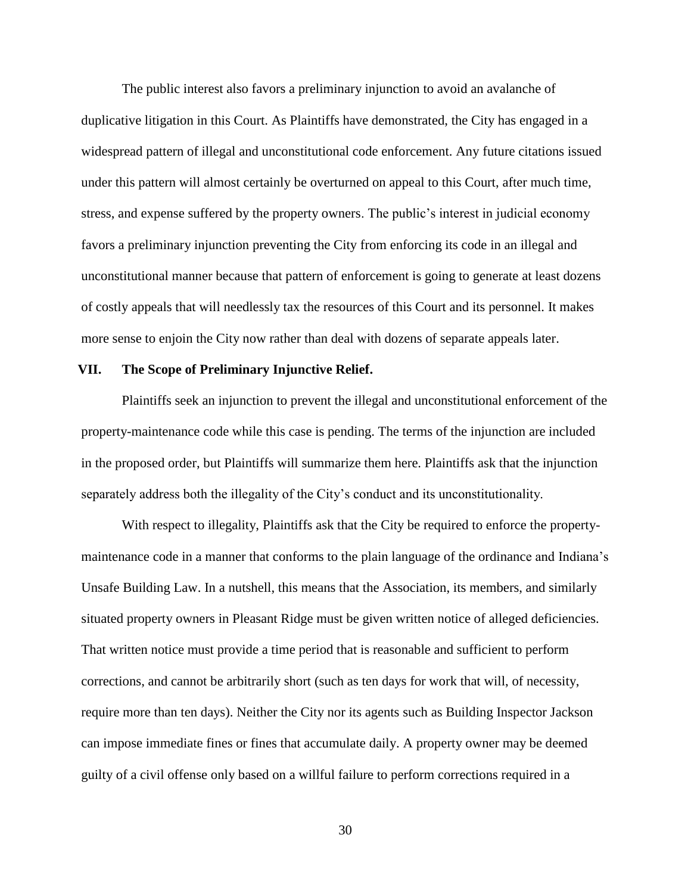The public interest also favors a preliminary injunction to avoid an avalanche of duplicative litigation in this Court. As Plaintiffs have demonstrated, the City has engaged in a widespread pattern of illegal and unconstitutional code enforcement. Any future citations issued under this pattern will almost certainly be overturned on appeal to this Court, after much time, stress, and expense suffered by the property owners. The public's interest in judicial economy favors a preliminary injunction preventing the City from enforcing its code in an illegal and unconstitutional manner because that pattern of enforcement is going to generate at least dozens of costly appeals that will needlessly tax the resources of this Court and its personnel. It makes more sense to enjoin the City now rather than deal with dozens of separate appeals later.

#### **VII. The Scope of Preliminary Injunctive Relief.**

Plaintiffs seek an injunction to prevent the illegal and unconstitutional enforcement of the property-maintenance code while this case is pending. The terms of the injunction are included in the proposed order, but Plaintiffs will summarize them here. Plaintiffs ask that the injunction separately address both the illegality of the City's conduct and its unconstitutionality.

With respect to illegality, Plaintiffs ask that the City be required to enforce the propertymaintenance code in a manner that conforms to the plain language of the ordinance and Indiana's Unsafe Building Law. In a nutshell, this means that the Association, its members, and similarly situated property owners in Pleasant Ridge must be given written notice of alleged deficiencies. That written notice must provide a time period that is reasonable and sufficient to perform corrections, and cannot be arbitrarily short (such as ten days for work that will, of necessity, require more than ten days). Neither the City nor its agents such as Building Inspector Jackson can impose immediate fines or fines that accumulate daily. A property owner may be deemed guilty of a civil offense only based on a willful failure to perform corrections required in a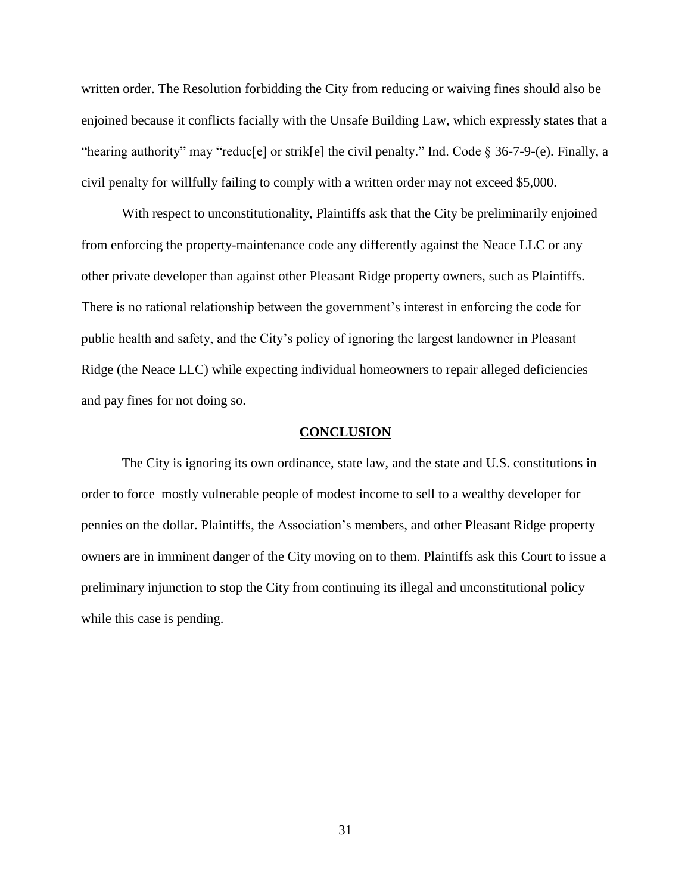written order. The Resolution forbidding the City from reducing or waiving fines should also be enjoined because it conflicts facially with the Unsafe Building Law, which expressly states that a "hearing authority" may "reduc[e] or strik[e] the civil penalty." Ind. Code  $\S 36-7-9-$  (e). Finally, a civil penalty for willfully failing to comply with a written order may not exceed \$5,000.

With respect to unconstitutionality, Plaintiffs ask that the City be preliminarily enjoined from enforcing the property-maintenance code any differently against the Neace LLC or any other private developer than against other Pleasant Ridge property owners, such as Plaintiffs. There is no rational relationship between the government's interest in enforcing the code for public health and safety, and the City's policy of ignoring the largest landowner in Pleasant Ridge (the Neace LLC) while expecting individual homeowners to repair alleged deficiencies and pay fines for not doing so.

#### **CONCLUSION**

The City is ignoring its own ordinance, state law, and the state and U.S. constitutions in order to force mostly vulnerable people of modest income to sell to a wealthy developer for pennies on the dollar. Plaintiffs, the Association's members, and other Pleasant Ridge property owners are in imminent danger of the City moving on to them. Plaintiffs ask this Court to issue a preliminary injunction to stop the City from continuing its illegal and unconstitutional policy while this case is pending.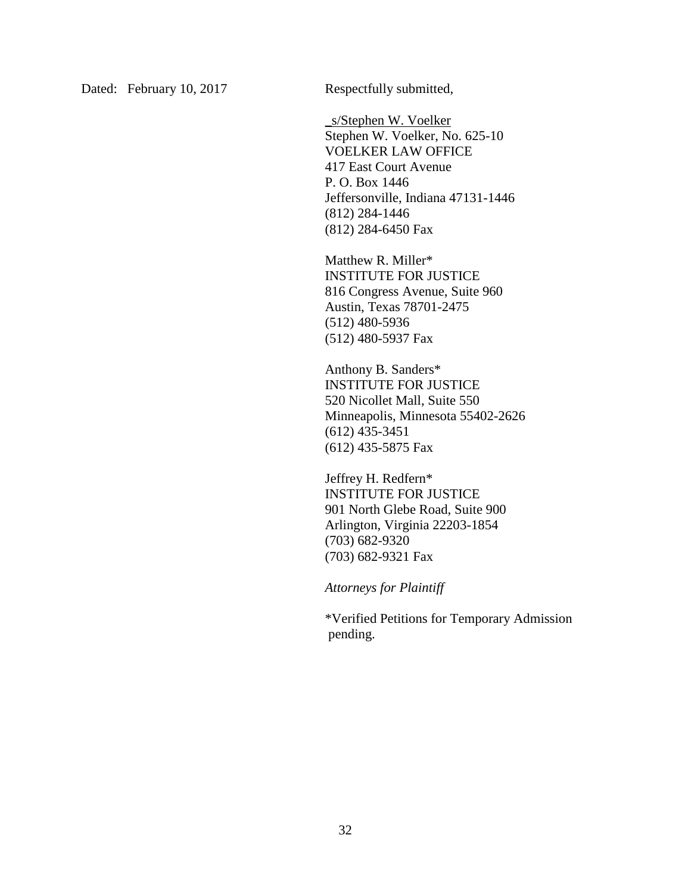Dated: February 10, 2017 Respectfully submitted,

\_s/Stephen W. Voelker Stephen W. Voelker, No. 625-10 VOELKER LAW OFFICE 417 East Court Avenue P. O. Box 1446 Jeffersonville, Indiana 47131-1446 (812) 284-1446 (812) 284-6450 Fax

Matthew R. Miller\* INSTITUTE FOR JUSTICE 816 Congress Avenue, Suite 960 Austin, Texas 78701-2475 (512) 480-5936 (512) 480-5937 Fax

Anthony B. Sanders\* INSTITUTE FOR JUSTICE 520 Nicollet Mall, Suite 550 Minneapolis, Minnesota 55402-2626 (612) 435-3451 (612) 435-5875 Fax

Jeffrey H. Redfern\* INSTITUTE FOR JUSTICE 901 North Glebe Road, Suite 900 Arlington, Virginia 22203-1854 (703) 682-9320 (703) 682-9321 Fax

*Attorneys for Plaintiff*

\*Verified Petitions for Temporary Admission pending.